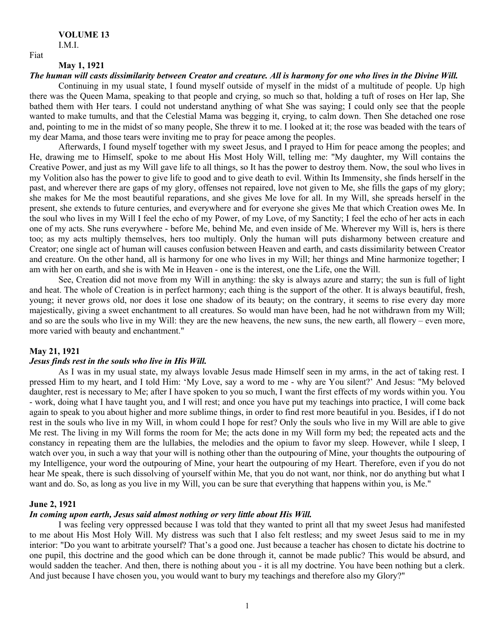I.M.I.

# **May 1, 1921**

Fiat

### *The human will casts dissimilarity between Creator and creature. All is harmony for one who lives in the Divine Will.*

Continuing in my usual state, I found myself outside of myself in the midst of a multitude of people. Up high there was the Queen Mama, speaking to that people and crying, so much so that, holding a tuft of roses on Her lap, She bathed them with Her tears. I could not understand anything of what She was saying; I could only see that the people wanted to make tumults, and that the Celestial Mama was begging it, crying, to calm down. Then She detached one rose and, pointing to me in the midst of so many people, She threw it to me. I looked at it; the rose was beaded with the tears of my dear Mama, and those tears were inviting me to pray for peace among the peoples.

Afterwards, I found myself together with my sweet Jesus, and I prayed to Him for peace among the peoples; and He, drawing me to Himself, spoke to me about His Most Holy Will, telling me: "My daughter, my Will contains the Creative Power, and just as my Will gave life to all things, so It has the power to destroy them. Now, the soul who lives in my Volition also has the power to give life to good and to give death to evil. Within Its Immensity, she finds herself in the past, and wherever there are gaps of my glory, offenses not repaired, love not given to Me, she fills the gaps of my glory; she makes for Me the most beautiful reparations, and she gives Me love for all. In my Will, she spreads herself in the present, she extends to future centuries, and everywhere and for everyone she gives Me that which Creation owes Me. In the soul who lives in my Will I feel the echo of my Power, of my Love, of my Sanctity; I feel the echo of her acts in each one of my acts. She runs everywhere - before Me, behind Me, and even inside of Me. Wherever my Will is, hers is there too; as my acts multiply themselves, hers too multiply. Only the human will puts disharmony between creature and Creator; one single act of human will causes confusion between Heaven and earth, and casts dissimilarity between Creator and creature. On the other hand, all is harmony for one who lives in my Will; her things and Mine harmonize together; I am with her on earth, and she is with Me in Heaven - one is the interest, one the Life, one the Will.

See, Creation did not move from my Will in anything: the sky is always azure and starry; the sun is full of light and heat. The whole of Creation is in perfect harmony; each thing is the support of the other. It is always beautiful, fresh, young; it never grows old, nor does it lose one shadow of its beauty; on the contrary, it seems to rise every day more majestically, giving a sweet enchantment to all creatures. So would man have been, had he not withdrawn from my Will; and so are the souls who live in my Will: they are the new heavens, the new suns, the new earth, all flowery – even more, more varied with beauty and enchantment."

# **May 21, 1921**

#### *Jesus finds rest in the souls who live in His Will.*

As I was in my usual state, my always lovable Jesus made Himself seen in my arms, in the act of taking rest. I pressed Him to my heart, and I told Him: 'My Love, say a word to me - why are You silent?' And Jesus: "My beloved daughter, rest is necessary to Me; after I have spoken to you so much, I want the first effects of my words within you. You - work, doing what I have taught you, and I will rest; and once you have put my teachings into practice, I will come back again to speak to you about higher and more sublime things, in order to find rest more beautiful in you. Besides, if I do not rest in the souls who live in my Will, in whom could I hope for rest? Only the souls who live in my Will are able to give Me rest. The living in my Will forms the room for Me; the acts done in my Will form my bed; the repeated acts and the constancy in repeating them are the lullabies, the melodies and the opium to favor my sleep. However, while I sleep, I watch over you, in such a way that your will is nothing other than the outpouring of Mine, your thoughts the outpouring of my Intelligence, your word the outpouring of Mine, your heart the outpouring of my Heart. Therefore, even if you do not hear Me speak, there is such dissolving of yourself within Me, that you do not want, nor think, nor do anything but what I want and do. So, as long as you live in my Will, you can be sure that everything that happens within you, is Me."

### **June 2, 1921**

# *In coming upon earth, Jesus said almost nothing or very little about His Will.*

I was feeling very oppressed because I was told that they wanted to print all that my sweet Jesus had manifested to me about His Most Holy Will. My distress was such that I also felt restless; and my sweet Jesus said to me in my interior: "Do you want to arbitrate yourself? That's a good one. Just because a teacher has chosen to dictate his doctrine to one pupil, this doctrine and the good which can be done through it, cannot be made public? This would be absurd, and would sadden the teacher. And then, there is nothing about you - it is all my doctrine. You have been nothing but a clerk. And just because I have chosen you, you would want to bury my teachings and therefore also my Glory?"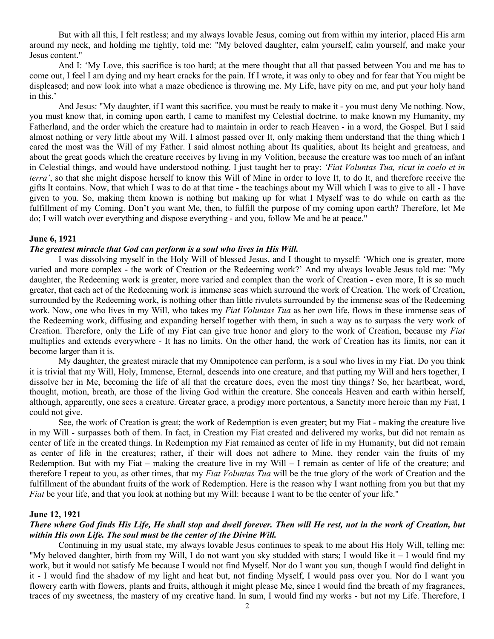But with all this, I felt restless; and my always lovable Jesus, coming out from within my interior, placed His arm around my neck, and holding me tightly, told me: "My beloved daughter, calm yourself, calm yourself, and make your Jesus content."

And I: 'My Love, this sacrifice is too hard; at the mere thought that all that passed between You and me has to come out, I feel I am dying and my heart cracks for the pain. If I wrote, it was only to obey and for fear that You might be displeased; and now look into what a maze obedience is throwing me. My Life, have pity on me, and put your holy hand in this.'

And Jesus: "My daughter, if I want this sacrifice, you must be ready to make it - you must deny Me nothing. Now, you must know that, in coming upon earth, I came to manifest my Celestial doctrine, to make known my Humanity, my Fatherland, and the order which the creature had to maintain in order to reach Heaven - in a word, the Gospel. But I said almost nothing or very little about my Will. I almost passed over It, only making them understand that the thing which I cared the most was the Will of my Father. I said almost nothing about Its qualities, about Its height and greatness, and about the great goods which the creature receives by living in my Volition, because the creature was too much of an infant in Celestial things, and would have understood nothing. I just taught her to pray: *'Fiat Voluntas Tua, sicut in coelo et in terra'*, so that she might dispose herself to know this Will of Mine in order to love It, to do It, and therefore receive the gifts It contains. Now, that which I was to do at that time - the teachings about my Will which I was to give to all - I have given to you. So, making them known is nothing but making up for what I Myself was to do while on earth as the fulfillment of my Coming. Don't you want Me, then, to fulfill the purpose of my coming upon earth? Therefore, let Me do; I will watch over everything and dispose everything - and you, follow Me and be at peace."

### **June 6, 1921**

### *The greatest miracle that God can perform is a soul who lives in His Will.*

I was dissolving myself in the Holy Will of blessed Jesus, and I thought to myself: 'Which one is greater, more varied and more complex - the work of Creation or the Redeeming work?' And my always lovable Jesus told me: "My daughter, the Redeeming work is greater, more varied and complex than the work of Creation - even more, It is so much greater, that each act of the Redeeming work is immense seas which surround the work of Creation. The work of Creation, surrounded by the Redeeming work, is nothing other than little rivulets surrounded by the immense seas of the Redeeming work. Now, one who lives in my Will, who takes my *Fiat Voluntas Tua* as her own life, flows in these immense seas of the Redeeming work, diffusing and expanding herself together with them, in such a way as to surpass the very work of Creation. Therefore, only the Life of my Fiat can give true honor and glory to the work of Creation, because my *Fiat* multiplies and extends everywhere - It has no limits. On the other hand, the work of Creation has its limits, nor can it become larger than it is.

My daughter, the greatest miracle that my Omnipotence can perform, is a soul who lives in my Fiat. Do you think it is trivial that my Will, Holy, Immense, Eternal, descends into one creature, and that putting my Will and hers together, I dissolve her in Me, becoming the life of all that the creature does, even the most tiny things? So, her heartbeat, word, thought, motion, breath, are those of the living God within the creature. She conceals Heaven and earth within herself, although, apparently, one sees a creature. Greater grace, a prodigy more portentous, a Sanctity more heroic than my Fiat, I could not give.

See, the work of Creation is great; the work of Redemption is even greater; but my Fiat - making the creature live in my Will - surpasses both of them. In fact, in Creation my Fiat created and delivered my works, but did not remain as center of life in the created things. In Redemption my Fiat remained as center of life in my Humanity, but did not remain as center of life in the creatures; rather, if their will does not adhere to Mine, they render vain the fruits of my Redemption. But with my Fiat – making the creature live in my Will – I remain as center of life of the creature; and therefore I repeat to you, as other times, that my *Fiat Voluntas Tua* will be the true glory of the work of Creation and the fulfillment of the abundant fruits of the work of Redemption. Here is the reason why I want nothing from you but that my *Fiat* be your life, and that you look at nothing but my Will: because I want to be the center of your life."

# **June 12, 1921**

# *There where God finds His Life, He shall stop and dwell forever. Then will He rest, not in the work of Creation, but within His own Life. The soul must be the center of the Divine Will.*

Continuing in my usual state, my always lovable Jesus continues to speak to me about His Holy Will, telling me: "My beloved daughter, birth from my Will, I do not want you sky studded with stars; I would like it – I would find my work, but it would not satisfy Me because I would not find Myself. Nor do I want you sun, though I would find delight in it - I would find the shadow of my light and heat but, not finding Myself, I would pass over you. Nor do I want you flowery earth with flowers, plants and fruits, although it might please Me, since I would find the breath of my fragrances, traces of my sweetness, the mastery of my creative hand. In sum, I would find my works - but not my Life. Therefore, I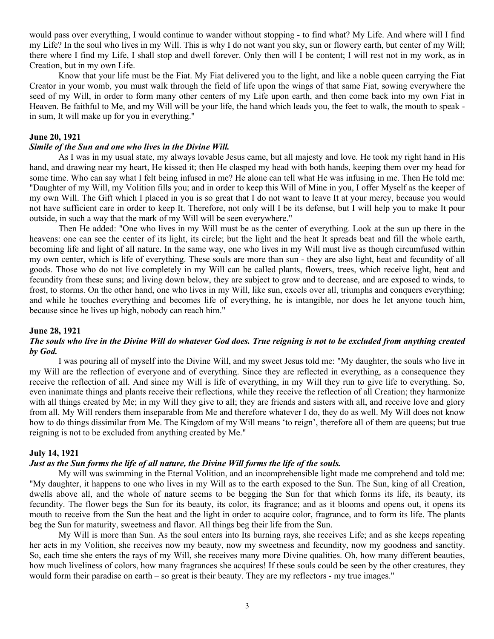would pass over everything, I would continue to wander without stopping - to find what? My Life. And where will I find my Life? In the soul who lives in my Will. This is why I do not want you sky, sun or flowery earth, but center of my Will; there where I find my Life, I shall stop and dwell forever. Only then will I be content; I will rest not in my work, as in Creation, but in my own Life.

Know that your life must be the Fiat. My Fiat delivered you to the light, and like a noble queen carrying the Fiat Creator in your womb, you must walk through the field of life upon the wings of that same Fiat, sowing everywhere the seed of my Will, in order to form many other centers of my Life upon earth, and then come back into my own Fiat in Heaven. Be faithful to Me, and my Will will be your life, the hand which leads you, the feet to walk, the mouth to speak in sum, It will make up for you in everything."

### **June 20, 1921**

### *Simile of the Sun and one who lives in the Divine Will.*

As I was in my usual state, my always lovable Jesus came, but all majesty and love. He took my right hand in His hand, and drawing near my heart, He kissed it; then He clasped my head with both hands, keeping them over my head for some time. Who can say what I felt being infused in me? He alone can tell what He was infusing in me. Then He told me: "Daughter of my Will, my Volition fills you; and in order to keep this Will of Mine in you, I offer Myself as the keeper of my own Will. The Gift which I placed in you is so great that I do not want to leave It at your mercy, because you would not have sufficient care in order to keep It. Therefore, not only will I be its defense, but I will help you to make It pour outside, in such a way that the mark of my Will will be seen everywhere."

Then He added: "One who lives in my Will must be as the center of everything. Look at the sun up there in the heavens: one can see the center of its light, its circle; but the light and the heat It spreads beat and fill the whole earth, becoming life and light of all nature. In the same way, one who lives in my Will must live as though circumfused within my own center, which is life of everything. These souls are more than sun - they are also light, heat and fecundity of all goods. Those who do not live completely in my Will can be called plants, flowers, trees, which receive light, heat and fecundity from these suns; and living down below, they are subject to grow and to decrease, and are exposed to winds, to frost, to storms. On the other hand, one who lives in my Will, like sun, excels over all, triumphs and conquers everything; and while he touches everything and becomes life of everything, he is intangible, nor does he let anyone touch him, because since he lives up high, nobody can reach him."

#### **June 28, 1921**

# *The souls who live in the Divine Will do whatever God does. True reigning is not to be excluded from anything created by God.*

I was pouring all of myself into the Divine Will, and my sweet Jesus told me: "My daughter, the souls who live in my Will are the reflection of everyone and of everything. Since they are reflected in everything, as a consequence they receive the reflection of all. And since my Will is life of everything, in my Will they run to give life to everything. So, even inanimate things and plants receive their reflections, while they receive the reflection of all Creation; they harmonize with all things created by Me; in my Will they give to all; they are friends and sisters with all, and receive love and glory from all. My Will renders them inseparable from Me and therefore whatever I do, they do as well. My Will does not know how to do things dissimilar from Me. The Kingdom of my Will means 'to reign', therefore all of them are queens; but true reigning is not to be excluded from anything created by Me."

# **July 14, 1921**

# *Just as the Sun forms the life of all nature, the Divine Will forms the life of the souls.*

My will was swimming in the Eternal Volition, and an incomprehensible light made me comprehend and told me: "My daughter, it happens to one who lives in my Will as to the earth exposed to the Sun. The Sun, king of all Creation, dwells above all, and the whole of nature seems to be begging the Sun for that which forms its life, its beauty, its fecundity. The flower begs the Sun for its beauty, its color, its fragrance; and as it blooms and opens out, it opens its mouth to receive from the Sun the heat and the light in order to acquire color, fragrance, and to form its life. The plants beg the Sun for maturity, sweetness and flavor. All things beg their life from the Sun.

My Will is more than Sun. As the soul enters into Its burning rays, she receives Life; and as she keeps repeating her acts in my Volition, she receives now my beauty, now my sweetness and fecundity, now my goodness and sanctity. So, each time she enters the rays of my Will, she receives many more Divine qualities. Oh, how many different beauties, how much liveliness of colors, how many fragrances she acquires! If these souls could be seen by the other creatures, they would form their paradise on earth – so great is their beauty. They are my reflectors - my true images."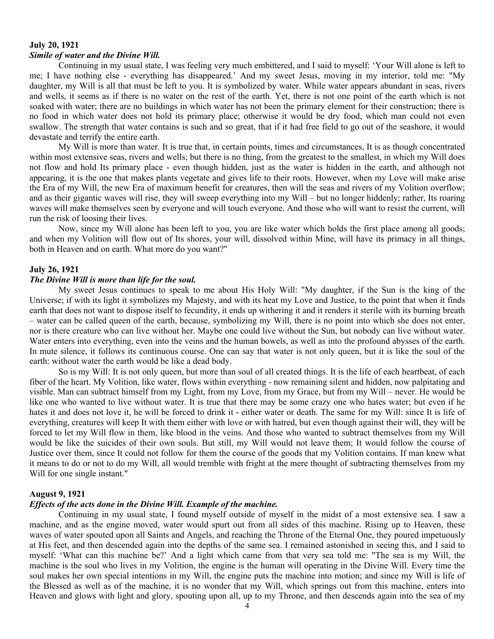### **July 20, 1921** *Simile of water and the Divine Will.*

Continuing in my usual state, I was feeling very much embittered, and I said to myself: 'Your Will alone is left to me; I have nothing else - everything has disappeared.' And my sweet Jesus, moving in my interior, told me: "My daughter, my Will is all that must be left to you. It is symbolized by water. While water appears abundant in seas, rivers and wells, it seems as if there is no water on the rest of the earth. Yet, there is not one point of the earth which is not soaked with water; there are no buildings in which water has not been the primary element for their construction; there is no food in which water does not hold its primary place; otherwise it would be dry food, which man could not even swallow. The strength that water contains is such and so great, that if it had free field to go out of the seashore, it would devastate and terrify the entire earth.

My Will is more than water. It is true that, in certain points, times and circumstances, It is as though concentrated within most extensive seas, rivers and wells; but there is no thing, from the greatest to the smallest, in which my Will does not flow and hold Its primary place - even though hidden, just as the water is hidden in the earth, and although not appearing, it is the one that makes plants vegetate and gives life to their roots. However, when my Love will make arise the Era of my Will, the new Era of maximum benefit for creatures, then will the seas and rivers of my Volition overflow; and as their gigantic waves will rise, they will sweep everything into my Will – but no longer hiddenly; rather, Its roaring waves will make themselves seen by everyone and will touch everyone. And those who will want to resist the current, will run the risk of loosing their lives.

Now, since my Will alone has been left to you, you are like water which holds the first place among all goods; and when my Volition will flow out of Its shores, your will, dissolved within Mine, will have its primacy in all things, both in Heaven and on earth. What more do you want?"

### **July 26, 1921**

# *The Divine Will is more than life for the soul.*

My sweet Jesus continues to speak to me about His Holy Will: "My daughter, if the Sun is the king of the Universe; if with its light it symbolizes my Majesty, and with its heat my Love and Justice, to the point that when it finds earth that does not want to dispose itself to fecundity, it ends up withering it and it renders it sterile with its burning breath – water can be called queen of the earth, because, symbolizing my Will, there is no point into which she does not enter, nor is there creature who can live without her. Maybe one could live without the Sun, but nobody can live without water. Water enters into everything, even into the veins and the human bowels, as well as into the profound abysses of the earth. In mute silence, it follows its continuous course. One can say that water is not only queen, but it is like the soul of the earth: without water the earth would be like a dead body.

So is my Will: It is not only queen, but more than soul of all created things. It is the life of each heartbeat, of each fiber of the heart. My Volition, like water, flows within everything - now remaining silent and hidden, now palpitating and visible. Man can subtract himself from my Light, from my Love, from my Grace, but from my Will – never. He would be like one who wanted to live without water. It is true that there may be some crazy one who hates water; but even if he hates it and does not love it, he will be forced to drink it - either water or death. The same for my Will: since It is life of everything, creatures will keep It with them either with love or with hatred, but even though against their will, they will be forced to let my Will flow in them, like blood in the veins. And those who wanted to subtract themselves from my Will would be like the suicides of their own souls. But still, my Will would not leave them; It would follow the course of Justice over them, since It could not follow for them the course of the goods that my Volition contains. If man knew what it means to do or not to do my Will, all would tremble with fright at the mere thought of subtracting themselves from my Will for one single instant."

### **August 9, 1921**

### *Effects of the acts done in the Divine Will. Example of the machine.*

Continuing in my usual state, I found myself outside of myself in the midst of a most extensive sea. I saw a machine, and as the engine moved, water would spurt out from all sides of this machine. Rising up to Heaven, these waves of water spouted upon all Saints and Angels, and reaching the Throne of the Eternal One, they poured impetuously at His feet, and then descended again into the depths of the same sea. I remained astonished in seeing this, and I said to myself: 'What can this machine be?' And a light which came from that very sea told me: "The sea is my Will, the machine is the soul who lives in my Volition, the engine is the human will operating in the Divine Will. Every time the soul makes her own special intentions in my Will, the engine puts the machine into motion; and since my Will is life of the Blessed as well as of the machine, it is no wonder that my Will, which springs out from this machine, enters into Heaven and glows with light and glory, spouting upon all, up to my Throne, and then descends again into the sea of my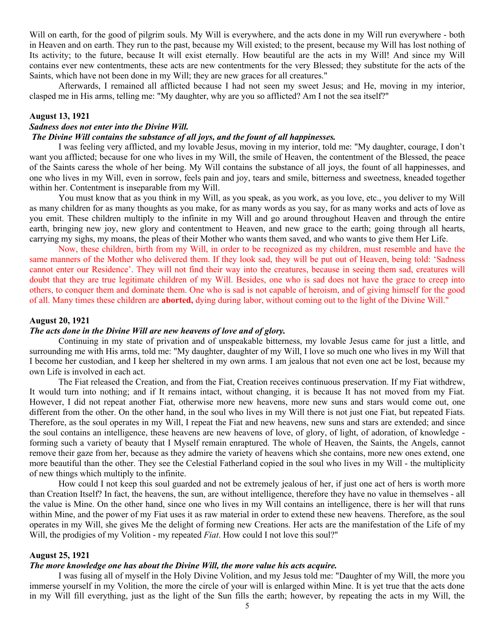Will on earth, for the good of pilgrim souls. My Will is everywhere, and the acts done in my Will run everywhere - both in Heaven and on earth. They run to the past, because my Will existed; to the present, because my Will has lost nothing of Its activity; to the future, because It will exist eternally. How beautiful are the acts in my Will! And since my Will contains ever new contentments, these acts are new contentments for the very Blessed; they substitute for the acts of the Saints, which have not been done in my Will; they are new graces for all creatures."

Afterwards, I remained all afflicted because I had not seen my sweet Jesus; and He, moving in my interior, clasped me in His arms, telling me: "My daughter, why are you so afflicted? Am I not the sea itself?"

# **August 13, 1921**

# *Sadness does not enter into the Divine Will.*

# *The Divine Will contains the substance of all joys, and the fount of all happinesses.*

I was feeling very afflicted, and my lovable Jesus, moving in my interior, told me: "My daughter, courage, I don't want you afflicted; because for one who lives in my Will, the smile of Heaven, the contentment of the Blessed, the peace of the Saints caress the whole of her being. My Will contains the substance of all joys, the fount of all happinesses, and one who lives in my Will, even in sorrow, feels pain and joy, tears and smile, bitterness and sweetness, kneaded together within her. Contentment is inseparable from my Will.

You must know that as you think in my Will, as you speak, as you work, as you love, etc., you deliver to my Will as many children for as many thoughts as you make, for as many words as you say, for as many works and acts of love as you emit. These children multiply to the infinite in my Will and go around throughout Heaven and through the entire earth, bringing new joy, new glory and contentment to Heaven, and new grace to the earth; going through all hearts, carrying my sighs, my moans, the pleas of their Mother who wants them saved, and who wants to give them Her Life.

Now, these children, birth from my Will, in order to be recognized as my children, must resemble and have the same manners of the Mother who delivered them. If they look sad, they will be put out of Heaven, being told: 'Sadness cannot enter our Residence'. They will not find their way into the creatures, because in seeing them sad, creatures will doubt that they are true legitimate children of my Will. Besides, one who is sad does not have the grace to creep into others, to conquer them and dominate them. One who is sad is not capable of heroism, and of giving himself for the good of all. Many times these children are **aborted,** dying during labor, without coming out to the light of the Divine Will."

### **August 20, 1921**

### *The acts done in the Divine Will are new heavens of love and of glory.*

Continuing in my state of privation and of unspeakable bitterness, my lovable Jesus came for just a little, and surrounding me with His arms, told me: "My daughter, daughter of my Will, I love so much one who lives in my Will that I become her custodian, and I keep her sheltered in my own arms. I am jealous that not even one act be lost, because my own Life is involved in each act.

The Fiat released the Creation, and from the Fiat, Creation receives continuous preservation. If my Fiat withdrew, It would turn into nothing; and if It remains intact, without changing, it is because It has not moved from my Fiat. However, I did not repeat another Fiat, otherwise more new heavens, more new suns and stars would come out, one different from the other. On the other hand, in the soul who lives in my Will there is not just one Fiat, but repeated Fiats. Therefore, as the soul operates in my Will, I repeat the Fiat and new heavens, new suns and stars are extended; and since the soul contains an intelligence, these heavens are new heavens of love, of glory, of light, of adoration, of knowledge forming such a variety of beauty that I Myself remain enraptured. The whole of Heaven, the Saints, the Angels, cannot remove their gaze from her, because as they admire the variety of heavens which she contains, more new ones extend, one more beautiful than the other. They see the Celestial Fatherland copied in the soul who lives in my Will - the multiplicity of new things which multiply to the infinite.

How could I not keep this soul guarded and not be extremely jealous of her, if just one act of hers is worth more than Creation Itself? In fact, the heavens, the sun, are without intelligence, therefore they have no value in themselves - all the value is Mine. On the other hand, since one who lives in my Will contains an intelligence, there is her will that runs within Mine, and the power of my Fiat uses it as raw material in order to extend these new heavens. Therefore, as the soul operates in my Will, she gives Me the delight of forming new Creations. Her acts are the manifestation of the Life of my Will, the prodigies of my Volition - my repeated *Fiat*. How could I not love this soul?"

# **August 25, 1921**

### *The more knowledge one has about the Divine Will, the more value his acts acquire.*

I was fusing all of myself in the Holy Divine Volition, and my Jesus told me: "Daughter of my Will, the more you immerse yourself in my Volition, the more the circle of your will is enlarged within Mine. It is yet true that the acts done in my Will fill everything, just as the light of the Sun fills the earth; however, by repeating the acts in my Will, the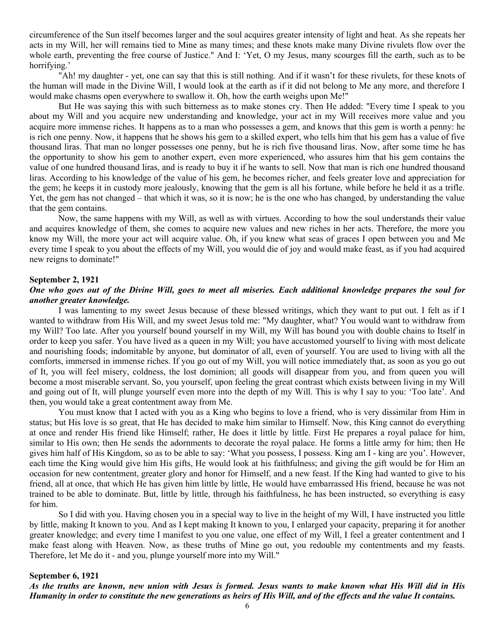circumference of the Sun itself becomes larger and the soul acquires greater intensity of light and heat. As she repeats her acts in my Will, her will remains tied to Mine as many times; and these knots make many Divine rivulets flow over the whole earth, preventing the free course of Justice." And I: 'Yet, O my Jesus, many scourges fill the earth, such as to be horrifying.'

"Ah! my daughter - yet, one can say that this is still nothing. And if it wasn't for these rivulets, for these knots of the human will made in the Divine Will, I would look at the earth as if it did not belong to Me any more, and therefore I would make chasms open everywhere to swallow it. Oh, how the earth weighs upon Me!"

But He was saying this with such bitterness as to make stones cry. Then He added: "Every time I speak to you about my Will and you acquire new understanding and knowledge, your act in my Will receives more value and you acquire more immense riches. It happens as to a man who possesses a gem, and knows that this gem is worth a penny: he is rich one penny. Now, it happens that he shows his gem to a skilled expert, who tells him that his gem has a value of five thousand liras. That man no longer possesses one penny, but he is rich five thousand liras. Now, after some time he has the opportunity to show his gem to another expert, even more experienced, who assures him that his gem contains the value of one hundred thousand liras, and is ready to buy it if he wants to sell. Now that man is rich one hundred thousand liras. According to his knowledge of the value of his gem, he becomes richer, and feels greater love and appreciation for the gem; he keeps it in custody more jealously, knowing that the gem is all his fortune, while before he held it as a trifle. Yet, the gem has not changed – that which it was, so it is now; he is the one who has changed, by understanding the value that the gem contains.

Now, the same happens with my Will, as well as with virtues. According to how the soul understands their value and acquires knowledge of them, she comes to acquire new values and new riches in her acts. Therefore, the more you know my Will, the more your act will acquire value. Oh, if you knew what seas of graces I open between you and Me every time I speak to you about the effects of my Will, you would die of joy and would make feast, as if you had acquired new reigns to dominate!"

#### **September 2, 1921**

# *One who goes out of the Divine Will, goes to meet all miseries. Each additional knowledge prepares the soul for another greater knowledge.*

I was lamenting to my sweet Jesus because of these blessed writings, which they want to put out. I felt as if I wanted to withdraw from His Will, and my sweet Jesus told me: "My daughter, what? You would want to withdraw from my Will? Too late. After you yourself bound yourself in my Will, my Will has bound you with double chains to Itself in order to keep you safer. You have lived as a queen in my Will; you have accustomed yourself to living with most delicate and nourishing foods; indomitable by anyone, but dominator of all, even of yourself. You are used to living with all the comforts, immersed in immense riches. If you go out of my Will, you will notice immediately that, as soon as you go out of It, you will feel misery, coldness, the lost dominion; all goods will disappear from you, and from queen you will become a most miserable servant. So, you yourself, upon feeling the great contrast which exists between living in my Will and going out of It, will plunge yourself even more into the depth of my Will. This is why I say to you: 'Too late'. And then, you would take a great contentment away from Me.

You must know that I acted with you as a King who begins to love a friend, who is very dissimilar from Him in status; but His love is so great, that He has decided to make him similar to Himself. Now, this King cannot do everything at once and render His friend like Himself; rather, He does it little by little. First He prepares a royal palace for him, similar to His own; then He sends the adornments to decorate the royal palace. He forms a little army for him; then He gives him half of His Kingdom, so as to be able to say: 'What you possess, I possess. King am I - king are you'. However, each time the King would give him His gifts, He would look at his faithfulness; and giving the gift would be for Him an occasion for new contentment, greater glory and honor for Himself, and a new feast. If the King had wanted to give to his friend, all at once, that which He has given him little by little, He would have embarrassed His friend, because he was not trained to be able to dominate. But, little by little, through his faithfulness, he has been instructed, so everything is easy for him.

So I did with you. Having chosen you in a special way to live in the height of my Will, I have instructed you little by little, making It known to you. And as I kept making It known to you, I enlarged your capacity, preparing it for another greater knowledge; and every time I manifest to you one value, one effect of my Will, I feel a greater contentment and I make feast along with Heaven. Now, as these truths of Mine go out, you redouble my contentments and my feasts. Therefore, let Me do it - and you, plunge yourself more into my Will."

#### **September 6, 1921**

*As the truths are known, new union with Jesus is formed. Jesus wants to make known what His Will did in His Humanity in order to constitute the new generations as heirs of His Will, and of the effects and the value It contains.*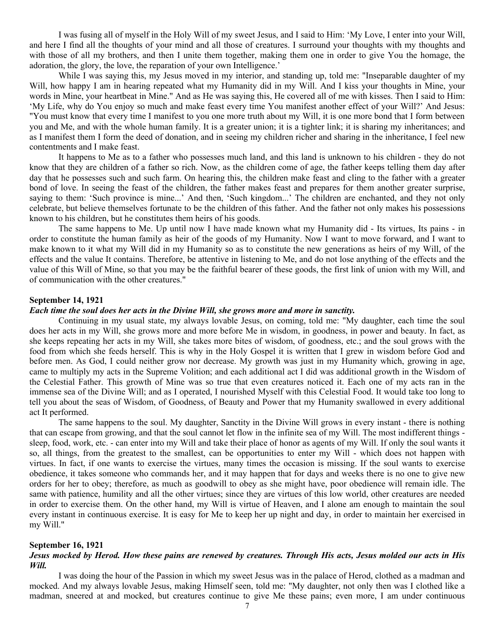I was fusing all of myself in the Holy Will of my sweet Jesus, and I said to Him: 'My Love, I enter into your Will, and here I find all the thoughts of your mind and all those of creatures. I surround your thoughts with my thoughts and with those of all my brothers, and then I unite them together, making them one in order to give You the homage, the adoration, the glory, the love, the reparation of your own Intelligence.'

While I was saying this, my Jesus moved in my interior, and standing up, told me: "Inseparable daughter of my Will, how happy I am in hearing repeated what my Humanity did in my Will. And I kiss your thoughts in Mine, your words in Mine, your heartbeat in Mine." And as He was saying this, He covered all of me with kisses. Then I said to Him: 'My Life, why do You enjoy so much and make feast every time You manifest another effect of your Will?' And Jesus: "You must know that every time I manifest to you one more truth about my Will, it is one more bond that I form between you and Me, and with the whole human family. It is a greater union; it is a tighter link; it is sharing my inheritances; and as I manifest them I form the deed of donation, and in seeing my children richer and sharing in the inheritance, I feel new contentments and I make feast.

It happens to Me as to a father who possesses much land, and this land is unknown to his children - they do not know that they are children of a father so rich. Now, as the children come of age, the father keeps telling them day after day that he possesses such and such farm. On hearing this, the children make feast and cling to the father with a greater bond of love. In seeing the feast of the children, the father makes feast and prepares for them another greater surprise, saying to them: 'Such province is mine...' And then, 'Such kingdom...' The children are enchanted, and they not only celebrate, but believe themselves fortunate to be the children of this father. And the father not only makes his possessions known to his children, but he constitutes them heirs of his goods.

The same happens to Me. Up until now I have made known what my Humanity did - Its virtues, Its pains - in order to constitute the human family as heir of the goods of my Humanity. Now I want to move forward, and I want to make known to it what my Will did in my Humanity so as to constitute the new generations as heirs of my Will, of the effects and the value It contains. Therefore, be attentive in listening to Me, and do not lose anything of the effects and the value of this Will of Mine, so that you may be the faithful bearer of these goods, the first link of union with my Will, and of communication with the other creatures."

#### **September 14, 1921**

# *Each time the soul does her acts in the Divine Will, she grows more and more in sanctity.*

Continuing in my usual state, my always lovable Jesus, on coming, told me: "My daughter, each time the soul does her acts in my Will, she grows more and more before Me in wisdom, in goodness, in power and beauty. In fact, as she keeps repeating her acts in my Will, she takes more bites of wisdom, of goodness, etc.; and the soul grows with the food from which she feeds herself. This is why in the Holy Gospel it is written that I grew in wisdom before God and before men. As God, I could neither grow nor decrease. My growth was just in my Humanity which, growing in age, came to multiply my acts in the Supreme Volition; and each additional act I did was additional growth in the Wisdom of the Celestial Father. This growth of Mine was so true that even creatures noticed it. Each one of my acts ran in the immense sea of the Divine Will; and as I operated, I nourished Myself with this Celestial Food. It would take too long to tell you about the seas of Wisdom, of Goodness, of Beauty and Power that my Humanity swallowed in every additional act It performed.

The same happens to the soul. My daughter, Sanctity in the Divine Will grows in every instant - there is nothing that can escape from growing, and that the soul cannot let flow in the infinite sea of my Will. The most indifferent things sleep, food, work, etc. - can enter into my Will and take their place of honor as agents of my Will. If only the soul wants it so, all things, from the greatest to the smallest, can be opportunities to enter my Will - which does not happen with virtues. In fact, if one wants to exercise the virtues, many times the occasion is missing. If the soul wants to exercise obedience, it takes someone who commands her, and it may happen that for days and weeks there is no one to give new orders for her to obey; therefore, as much as goodwill to obey as she might have, poor obedience will remain idle. The same with patience, humility and all the other virtues; since they are virtues of this low world, other creatures are needed in order to exercise them. On the other hand, my Will is virtue of Heaven, and I alone am enough to maintain the soul every instant in continuous exercise. It is easy for Me to keep her up night and day, in order to maintain her exercised in my Will."

# **September 16, 1921**

# *Jesus mocked by Herod. How these pains are renewed by creatures. Through His acts, Jesus molded our acts in His Will.*

I was doing the hour of the Passion in which my sweet Jesus was in the palace of Herod, clothed as a madman and mocked. And my always lovable Jesus, making Himself seen, told me: "My daughter, not only then was I clothed like a madman, sneered at and mocked, but creatures continue to give Me these pains; even more, I am under continuous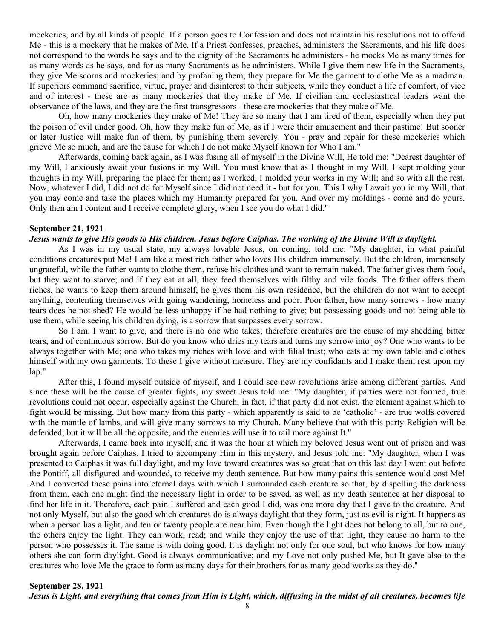mockeries, and by all kinds of people. If a person goes to Confession and does not maintain his resolutions not to offend Me - this is a mockery that he makes of Me. If a Priest confesses, preaches, administers the Sacraments, and his life does not correspond to the words he says and to the dignity of the Sacraments he administers - he mocks Me as many times for as many words as he says, and for as many Sacraments as he administers. While I give them new life in the Sacraments, they give Me scorns and mockeries; and by profaning them, they prepare for Me the garment to clothe Me as a madman. If superiors command sacrifice, virtue, prayer and disinterest to their subjects, while they conduct a life of comfort, of vice and of interest - these are as many mockeries that they make of Me. If civilian and ecclesiastical leaders want the observance of the laws, and they are the first transgressors - these are mockeries that they make of Me.

Oh, how many mockeries they make of Me! They are so many that I am tired of them, especially when they put the poison of evil under good. Oh, how they make fun of Me, as if I were their amusement and their pastime! But sooner or later Justice will make fun of them, by punishing them severely. You - pray and repair for these mockeries which grieve Me so much, and are the cause for which I do not make Myself known for Who I am."

Afterwards, coming back again, as I was fusing all of myself in the Divine Will, He told me: "Dearest daughter of my Will, I anxiously await your fusions in my Will. You must know that as I thought in my Will, I kept molding your thoughts in my Will, preparing the place for them; as I worked, I molded your works in my Will; and so with all the rest. Now, whatever I did, I did not do for Myself since I did not need it - but for you. This I why I await you in my Will, that you may come and take the places which my Humanity prepared for you. And over my moldings - come and do yours. Only then am I content and I receive complete glory, when I see you do what I did."

# **September 21, 1921**

### *Jesus wants to give His goods to His children. Jesus before Caiphas. The working of the Divine Will is daylight.*

As I was in my usual state, my always lovable Jesus, on coming, told me: "My daughter, in what painful conditions creatures put Me! I am like a most rich father who loves His children immensely. But the children, immensely ungrateful, while the father wants to clothe them, refuse his clothes and want to remain naked. The father gives them food, but they want to starve; and if they eat at all, they feed themselves with filthy and vile foods. The father offers them riches, he wants to keep them around himself, he gives them his own residence, but the children do not want to accept anything, contenting themselves with going wandering, homeless and poor. Poor father, how many sorrows - how many tears does he not shed? He would be less unhappy if he had nothing to give; but possessing goods and not being able to use them, while seeing his children dying, is a sorrow that surpasses every sorrow.

So I am. I want to give, and there is no one who takes; therefore creatures are the cause of my shedding bitter tears, and of continuous sorrow. But do you know who dries my tears and turns my sorrow into joy? One who wants to be always together with Me; one who takes my riches with love and with filial trust; who eats at my own table and clothes himself with my own garments. To these I give without measure. They are my confidants and I make them rest upon my lap."

After this, I found myself outside of myself, and I could see new revolutions arise among different parties. And since these will be the cause of greater fights, my sweet Jesus told me: "My daughter, if parties were not formed, true revolutions could not occur, especially against the Church; in fact, if that party did not exist, the element against which to fight would be missing. But how many from this party - which apparently is said to be 'catholic' - are true wolfs covered with the mantle of lambs, and will give many sorrows to my Church. Many believe that with this party Religion will be defended; but it will be all the opposite, and the enemies will use it to rail more against It."

Afterwards, I came back into myself, and it was the hour at which my beloved Jesus went out of prison and was brought again before Caiphas. I tried to accompany Him in this mystery, and Jesus told me: "My daughter, when I was presented to Caiphas it was full daylight, and my love toward creatures was so great that on this last day I went out before the Pontiff, all disfigured and wounded, to receive my death sentence. But how many pains this sentence would cost Me! And I converted these pains into eternal days with which I surrounded each creature so that, by dispelling the darkness from them, each one might find the necessary light in order to be saved, as well as my death sentence at her disposal to find her life in it. Therefore, each pain I suffered and each good I did, was one more day that I gave to the creature. And not only Myself, but also the good which creatures do is always daylight that they form, just as evil is night. It happens as when a person has a light, and ten or twenty people are near him. Even though the light does not belong to all, but to one, the others enjoy the light. They can work, read; and while they enjoy the use of that light, they cause no harm to the person who possesses it. The same is with doing good. It is daylight not only for one soul, but who knows for how many others she can form daylight. Good is always communicative; and my Love not only pushed Me, but It gave also to the creatures who love Me the grace to form as many days for their brothers for as many good works as they do."

# **September 28, 1921** *Jesus is Light, and everything that comes from Him is Light, which, diffusing in the midst of all creatures, becomes life*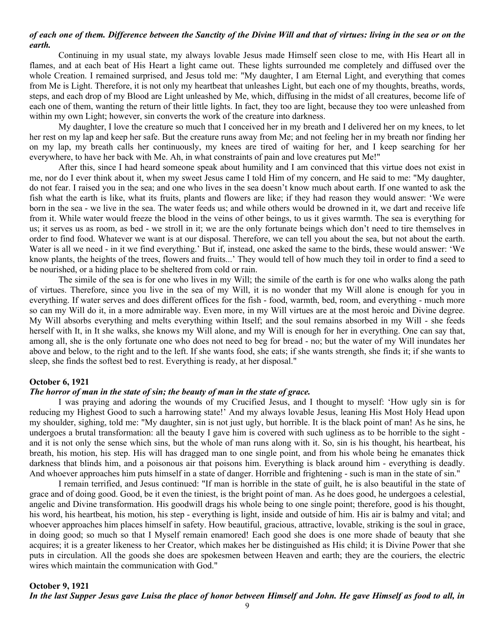# *of each one of them. Difference between the Sanctity of the Divine Will and that of virtues: living in the sea or on the earth.*

Continuing in my usual state, my always lovable Jesus made Himself seen close to me, with His Heart all in flames, and at each beat of His Heart a light came out. These lights surrounded me completely and diffused over the whole Creation. I remained surprised, and Jesus told me: "My daughter, I am Eternal Light, and everything that comes from Me is Light. Therefore, it is not only my heartbeat that unleashes Light, but each one of my thoughts, breaths, words, steps, and each drop of my Blood are Light unleashed by Me, which, diffusing in the midst of all creatures, become life of each one of them, wanting the return of their little lights. In fact, they too are light, because they too were unleashed from within my own Light; however, sin converts the work of the creature into darkness.

My daughter, I love the creature so much that I conceived her in my breath and I delivered her on my knees, to let her rest on my lap and keep her safe. But the creature runs away from Me; and not feeling her in my breath nor finding her on my lap, my breath calls her continuously, my knees are tired of waiting for her, and I keep searching for her everywhere, to have her back with Me. Ah, in what constraints of pain and love creatures put Me!"

After this, since I had heard someone speak about humility and I am convinced that this virtue does not exist in me, nor do I ever think about it, when my sweet Jesus came I told Him of my concern, and He said to me: "My daughter, do not fear. I raised you in the sea; and one who lives in the sea doesn't know much about earth. If one wanted to ask the fish what the earth is like, what its fruits, plants and flowers are like; if they had reason they would answer: 'We were born in the sea - we live in the sea. The water feeds us; and while others would be drowned in it, we dart and receive life from it. While water would freeze the blood in the veins of other beings, to us it gives warmth. The sea is everything for us; it serves us as room, as bed - we stroll in it; we are the only fortunate beings which don't need to tire themselves in order to find food. Whatever we want is at our disposal. Therefore, we can tell you about the sea, but not about the earth. Water is all we need - in it we find everything.' But if, instead, one asked the same to the birds, these would answer: 'We know plants, the heights of the trees, flowers and fruits...' They would tell of how much they toil in order to find a seed to be nourished, or a hiding place to be sheltered from cold or rain.

The simile of the sea is for one who lives in my Will; the simile of the earth is for one who walks along the path of virtues. Therefore, since you live in the sea of my Will, it is no wonder that my Will alone is enough for you in everything. If water serves and does different offices for the fish - food, warmth, bed, room, and everything - much more so can my Will do it, in a more admirable way. Even more, in my Will virtues are at the most heroic and Divine degree. My Will absorbs everything and melts everything within Itself; and the soul remains absorbed in my Will - she feeds herself with It, in It she walks, she knows my Will alone, and my Will is enough for her in everything. One can say that, among all, she is the only fortunate one who does not need to beg for bread - no; but the water of my Will inundates her above and below, to the right and to the left. If she wants food, she eats; if she wants strength, she finds it; if she wants to sleep, she finds the softest bed to rest. Everything is ready, at her disposal."

## **October 6, 1921**

# *The horror of man in the state of sin; the beauty of man in the state of grace.*

I was praying and adoring the wounds of my Crucified Jesus, and I thought to myself: 'How ugly sin is for reducing my Highest Good to such a harrowing state!' And my always lovable Jesus, leaning His Most Holy Head upon my shoulder, sighing, told me: "My daughter, sin is not just ugly, but horrible. It is the black point of man! As he sins, he undergoes a brutal transformation: all the beauty I gave him is covered with such ugliness as to be horrible to the sight and it is not only the sense which sins, but the whole of man runs along with it. So, sin is his thought, his heartbeat, his breath, his motion, his step. His will has dragged man to one single point, and from his whole being he emanates thick darkness that blinds him, and a poisonous air that poisons him. Everything is black around him - everything is deadly. And whoever approaches him puts himself in a state of danger. Horrible and frightening - such is man in the state of sin."

I remain terrified, and Jesus continued: "If man is horrible in the state of guilt, he is also beautiful in the state of grace and of doing good. Good, be it even the tiniest, is the bright point of man. As he does good, he undergoes a celestial, angelic and Divine transformation. His goodwill drags his whole being to one single point; therefore, good is his thought, his word, his heartbeat, his motion, his step - everything is light, inside and outside of him. His air is balmy and vital; and whoever approaches him places himself in safety. How beautiful, gracious, attractive, lovable, striking is the soul in grace, in doing good; so much so that I Myself remain enamored! Each good she does is one more shade of beauty that she acquires; it is a greater likeness to her Creator, which makes her be distinguished as His child; it is Divine Power that she puts in circulation. All the goods she does are spokesmen between Heaven and earth; they are the couriers, the electric wires which maintain the communication with God."

# **October 9, 1921** *In the last Supper Jesus gave Luisa the place of honor between Himself and John. He gave Himself as food to all, in*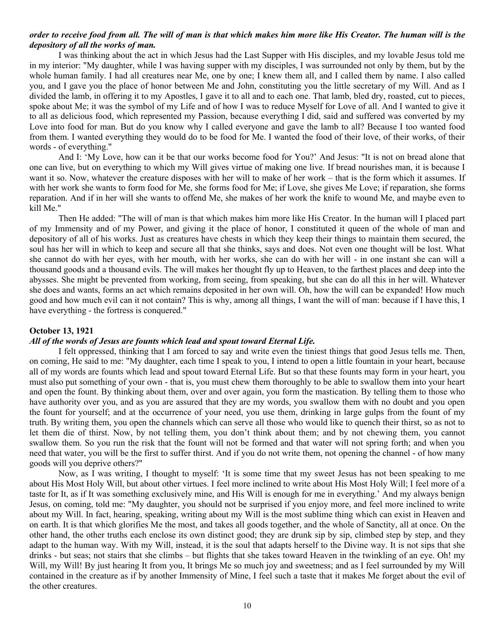# *order to receive food from all. The will of man is that which makes him more like His Creator. The human will is the depository of all the works of man.*

I was thinking about the act in which Jesus had the Last Supper with His disciples, and my lovable Jesus told me in my interior: "My daughter, while I was having supper with my disciples, I was surrounded not only by them, but by the whole human family. I had all creatures near Me, one by one; I knew them all, and I called them by name. I also called you, and I gave you the place of honor between Me and John, constituting you the little secretary of my Will. And as I divided the lamb, in offering it to my Apostles, I gave it to all and to each one. That lamb, bled dry, roasted, cut to pieces, spoke about Me; it was the symbol of my Life and of how I was to reduce Myself for Love of all. And I wanted to give it to all as delicious food, which represented my Passion, because everything I did, said and suffered was converted by my Love into food for man. But do you know why I called everyone and gave the lamb to all? Because I too wanted food from them. I wanted everything they would do to be food for Me. I wanted the food of their love, of their works, of their words - of everything."

And I: 'My Love, how can it be that our works become food for You?' And Jesus: "It is not on bread alone that one can live, but on everything to which my Will gives virtue of making one live. If bread nourishes man, it is because I want it so. Now, whatever the creature disposes with her will to make of her work – that is the form which it assumes. If with her work she wants to form food for Me, she forms food for Me; if Love, she gives Me Love; if reparation, she forms reparation. And if in her will she wants to offend Me, she makes of her work the knife to wound Me, and maybe even to kill Me."

Then He added: "The will of man is that which makes him more like His Creator. In the human will I placed part of my Immensity and of my Power, and giving it the place of honor, I constituted it queen of the whole of man and depository of all of his works. Just as creatures have chests in which they keep their things to maintain them secured, the soul has her will in which to keep and secure all that she thinks, says and does. Not even one thought will be lost. What she cannot do with her eyes, with her mouth, with her works, she can do with her will - in one instant she can will a thousand goods and a thousand evils. The will makes her thought fly up to Heaven, to the farthest places and deep into the abysses. She might be prevented from working, from seeing, from speaking, but she can do all this in her will. Whatever she does and wants, forms an act which remains deposited in her own will. Oh, how the will can be expanded! How much good and how much evil can it not contain? This is why, among all things, I want the will of man: because if I have this, I have everything - the fortress is conquered."

### **October 13, 1921**

### *All of the words of Jesus are founts which lead and spout toward Eternal Life.*

I felt oppressed, thinking that I am forced to say and write even the tiniest things that good Jesus tells me. Then, on coming, He said to me: "My daughter, each time I speak to you, I intend to open a little fountain in your heart, because all of my words are founts which lead and spout toward Eternal Life. But so that these founts may form in your heart, you must also put something of your own - that is, you must chew them thoroughly to be able to swallow them into your heart and open the fount. By thinking about them, over and over again, you form the mastication. By telling them to those who have authority over you, and as you are assured that they are my words, you swallow them with no doubt and you open the fount for yourself; and at the occurrence of your need, you use them, drinking in large gulps from the fount of my truth. By writing them, you open the channels which can serve all those who would like to quench their thirst, so as not to let them die of thirst. Now, by not telling them, you don't think about them; and by not chewing them, you cannot swallow them. So you run the risk that the fount will not be formed and that water will not spring forth; and when you need that water, you will be the first to suffer thirst. And if you do not write them, not opening the channel - of how many goods will you deprive others?"

Now, as I was writing, I thought to myself: 'It is some time that my sweet Jesus has not been speaking to me about His Most Holy Will, but about other virtues. I feel more inclined to write about His Most Holy Will; I feel more of a taste for It, as if It was something exclusively mine, and His Will is enough for me in everything.' And my always benign Jesus, on coming, told me: "My daughter, you should not be surprised if you enjoy more, and feel more inclined to write about my Will. In fact, hearing, speaking, writing about my Will is the most sublime thing which can exist in Heaven and on earth. It is that which glorifies Me the most, and takes all goods together, and the whole of Sanctity, all at once. On the other hand, the other truths each enclose its own distinct good; they are drunk sip by sip, climbed step by step, and they adapt to the human way. With my Will, instead, it is the soul that adapts herself to the Divine way. It is not sips that she drinks - but seas; not stairs that she climbs – but flights that she takes toward Heaven in the twinkling of an eye. Oh! my Will, my Will! By just hearing It from you, It brings Me so much joy and sweetness; and as I feel surrounded by my Will contained in the creature as if by another Immensity of Mine, I feel such a taste that it makes Me forget about the evil of the other creatures.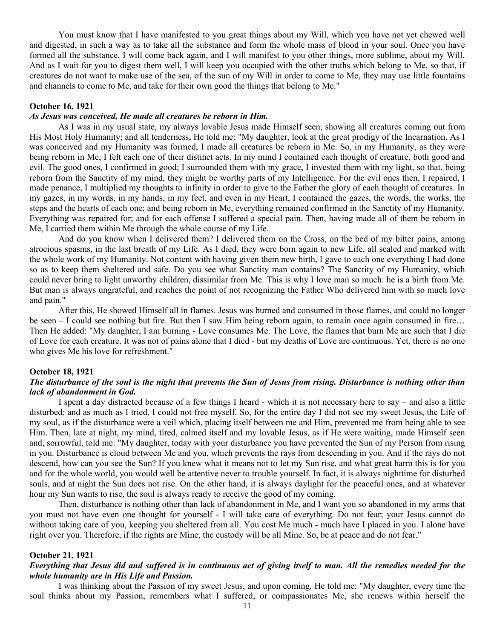You must know that I have manifested to you great things about my Will, which you have not yet chewed well and digested, in such a way as to take all the substance and form the whole mass of blood in your soul. Once you have formed all the substance, I will come back again, and I will manifest to you other things, more sublime, about my Will. And as I wait for you to digest them well, I will keep you occupied with the other truths which belong to Me, so that, if creatures do not want to make use of the sea, of the sun of my Will in order to come to Me, they may use little fountains and channels to come to Me, and take for their own good the things that belong to Me."

# **October 16, 1921**

#### *As Jesus was conceived, He made all creatures be reborn in Him.*

As I was in my usual state, my always lovable Jesus made Himself seen, showing all creatures coming out from His Most Holy Humanity; and all tenderness, He told me: "My daughter, look at the great prodigy of the Incarnation. As I was conceived and my Humanity was formed, I made all creatures be reborn in Me. So, in my Humanity, as they were being reborn in Me, I felt each one of their distinct acts. In my mind I contained each thought of creature, both good and evil. The good ones, I confirmed in good; I surrounded them with my grace, I invested them with my light, so that, being reborn from the Sanctity of my mind, they might be worthy parts of my Intelligence. For the evil ones then, I repaired, I made penance, I multiplied my thoughts to infinity in order to give to the Father the glory of each thought of creatures. In my gazes, in my words, in my hands, in my feet, and even in my Heart, I contained the gazes, the words, the works, the steps and the hearts of each one; and being reborn in Me, everything remained confirmed in the Sanctity of my Humanity. Everything was repaired for; and for each offense I suffered a special pain. Then, having made all of them be reborn in Me, I carried them within Me through the whole course of my Life.

And do you know when I delivered them? I delivered them on the Cross, on the bed of my bitter pains, among atrocious spasms, in the last breath of my Life. As I died, they were born again to new Life, all sealed and marked with the whole work of my Humanity. Not content with having given them new birth, I gave to each one everything I had done so as to keep them sheltered and safe. Do you see what Sanctity man contains? The Sanctity of my Humanity, which could never bring to light unworthy children, dissimilar from Me. This is why I love man so much: he is a birth from Me. But man is always ungrateful, and reaches the point of not recognizing the Father Who delivered him with so much love and pain."

After this, He showed Himself all in flames. Jesus was burned and consumed in those flames, and could no longer be seen – I could see nothing but fire. But then I saw Him being reborn again, to remain once again consumed in fire… Then He added: "My daughter, I am burning - Love consumes Me. The Love, the flames that burn Me are such that I die of Love for each creature. It was not of pains alone that I died - but my deaths of Love are continuous. Yet, there is no one who gives Me his love for refreshment."

#### **October 18, 1921**

# *The disturbance of the soul is the night that prevents the Sun of Jesus from rising. Disturbance is nothing other than lack of abandonment in God.*

I spent a day distracted because of a few things I heard - which it is not necessary here to say – and also a little disturbed; and as much as I tried, I could not free myself. So, for the entire day I did not see my sweet Jesus, the Life of my soul, as if the disturbance were a veil which, placing itself between me and Him, prevented me from being able to see Him. Then, late at night, my mind, tired, calmed itself and my lovable Jesus, as if He were waiting, made Himself seen and, sorrowful, told me: "My daughter, today with your disturbance you have prevented the Sun of my Person from rising in you. Disturbance is cloud between Me and you, which prevents the rays from descending in you. And if the rays do not descend, how can you see the Sun? If you knew what it means not to let my Sun rise, and what great harm this is for you and for the whole world, you would well be attentive never to trouble yourself. In fact, it is always nighttime for disturbed souls, and at night the Sun does not rise. On the other hand, it is always daylight for the peaceful ones, and at whatever hour my Sun wants to rise, the soul is always ready to receive the good of my coming.

Then, disturbance is nothing other than lack of abandonment in Me, and I want you so abandoned in my arms that you must not have even one thought for yourself - I will take care of everything. Do not fear; your Jesus cannot do without taking care of you, keeping you sheltered from all. You cost Me much - much have I placed in you. I alone have right over you. Therefore, if the rights are Mine, the custody will be all Mine. So, be at peace and do not fear."

### **October 21, 1921**

# *Everything that Jesus did and suffered is in continuous act of giving itself to man. All the remedies needed for the whole humanity are in His Life and Passion.*

I was thinking about the Passion of my sweet Jesus, and upon coming, He told me: "My daughter, every time the soul thinks about my Passion, remembers what I suffered, or compassionates Me, she renews within herself the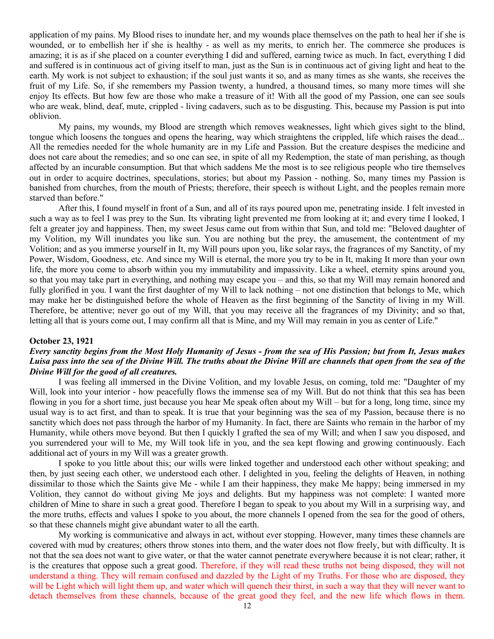application of my pains. My Blood rises to inundate her, and my wounds place themselves on the path to heal her if she is wounded, or to embellish her if she is healthy - as well as my merits, to enrich her. The commerce she produces is amazing; it is as if she placed on a counter everything I did and suffered, earning twice as much. In fact, everything I did and suffered is in continuous act of giving itself to man, just as the Sun is in continuous act of giving light and heat to the earth. My work is not subject to exhaustion; if the soul just wants it so, and as many times as she wants, she receives the fruit of my Life. So, if she remembers my Passion twenty, a hundred, a thousand times, so many more times will she enjoy Its effects. But how few are those who make a treasure of it! With all the good of my Passion, one can see souls who are weak, blind, deaf, mute, crippled - living cadavers, such as to be disgusting. This, because my Passion is put into oblivion.

My pains, my wounds, my Blood are strength which removes weaknesses, light which gives sight to the blind, tongue which loosens the tongues and opens the hearing, way which straightens the crippled, life which raises the dead... All the remedies needed for the whole humanity are in my Life and Passion. But the creature despises the medicine and does not care about the remedies; and so one can see, in spite of all my Redemption, the state of man perishing, as though affected by an incurable consumption. But that which saddens Me the most is to see religious people who tire themselves out in order to acquire doctrines, speculations, stories; but about my Passion - nothing. So, many times my Passion is banished from churches, from the mouth of Priests; therefore, their speech is without Light, and the peoples remain more starved than before."

After this, I found myself in front of a Sun, and all of its rays poured upon me, penetrating inside. I felt invested in such a way as to feel I was prey to the Sun. Its vibrating light prevented me from looking at it; and every time I looked, I felt a greater joy and happiness. Then, my sweet Jesus came out from within that Sun, and told me: "Beloved daughter of my Volition, my Will inundates you like sun. You are nothing but the prey, the amusement, the contentment of my Volition; and as you immerse yourself in It, my Will pours upon you, like solar rays, the fragrances of my Sanctity, of my Power, Wisdom, Goodness, etc. And since my Will is eternal, the more you try to be in It, making It more than your own life, the more you come to absorb within you my immutability and impassivity. Like a wheel, eternity spins around you, so that you may take part in everything, and nothing may escape you – and this, so that my Will may remain honored and fully glorified in you. I want the first daughter of my Will to lack nothing – not one distinction that belongs to Me, which may make her be distinguished before the whole of Heaven as the first beginning of the Sanctity of living in my Will. Therefore, be attentive; never go out of my Will, that you may receive all the fragrances of my Divinity; and so that, letting all that is yours come out, I may confirm all that is Mine, and my Will may remain in you as center of Life."

#### **October 23, 1921**

# *Every sanctity begins from the Most Holy Humanity of Jesus - from the sea of His Passion; but from It, Jesus makes Luisa pass into the sea of the Divine Will. The truths about the Divine Will are channels that open from the sea of the Divine Will for the good of all creatures.*

I was feeling all immersed in the Divine Volition, and my lovable Jesus, on coming, told me: "Daughter of my Will, look into your interior - how peacefully flows the immense sea of my Will. But do not think that this sea has been flowing in you for a short time, just because you hear Me speak often about my Will – but for a long, long time, since my usual way is to act first, and than to speak. It is true that your beginning was the sea of my Passion, because there is no sanctity which does not pass through the harbor of my Humanity. In fact, there are Saints who remain in the harbor of my Humanity, while others move beyond. But then I quickly I grafted the sea of my Will; and when I saw you disposed, and you surrendered your will to Me, my Will took life in you, and the sea kept flowing and growing continuously. Each additional act of yours in my Will was a greater growth.

I spoke to you little about this; our wills were linked together and understood each other without speaking; and then, by just seeing each other, we understood each other. I delighted in you, feeling the delights of Heaven, in nothing dissimilar to those which the Saints give Me - while I am their happiness, they make Me happy; being immersed in my Volition, they cannot do without giving Me joys and delights. But my happiness was not complete: I wanted more children of Mine to share in such a great good. Therefore I began to speak to you about my Will in a surprising way, and the more truths, effects and values I spoke to you about, the more channels I opened from the sea for the good of others, so that these channels might give abundant water to all the earth.

My working is communicative and always in act, without ever stopping. However, many times these channels are covered with mud by creatures; others throw stones into them, and the water does not flow freely, but with difficulty. It is not that the sea does not want to give water, or that the water cannot penetrate everywhere because it is not clear; rather, it is the creatures that oppose such a great good. Therefore, if they will read these truths not being disposed, they will not understand a thing. They will remain confused and dazzled by the Light of my Truths. For those who are disposed, they will be Light which will light them up, and water which will quench their thirst, in such a way that they will never want to detach themselves from these channels, because of the great good they feel, and the new life which flows in them.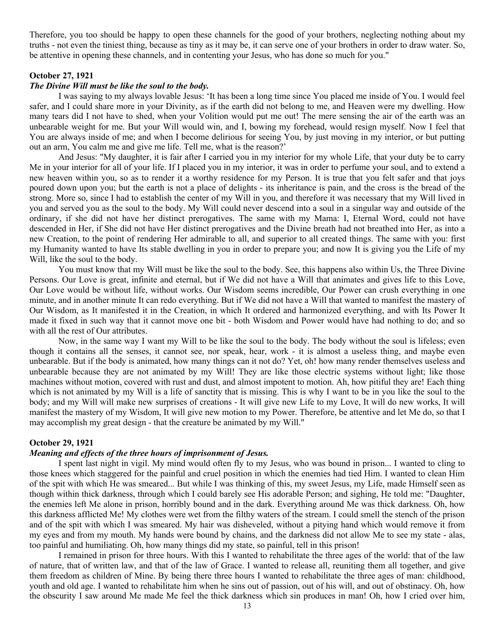Therefore, you too should be happy to open these channels for the good of your brothers, neglecting nothing about my truths - not even the tiniest thing, because as tiny as it may be, it can serve one of your brothers in order to draw water. So, be attentive in opening these channels, and in contenting your Jesus, who has done so much for you."

## **October 27, 1921**

### *The Divine Will must be like the soul to the body.*

I was saying to my always lovable Jesus: 'It has been a long time since You placed me inside of You. I would feel safer, and I could share more in your Divinity, as if the earth did not belong to me, and Heaven were my dwelling. How many tears did I not have to shed, when your Volition would put me out! The mere sensing the air of the earth was an unbearable weight for me. But your Will would win, and I, bowing my forehead, would resign myself. Now I feel that You are always inside of me; and when I become delirious for seeing You, by just moving in my interior, or but putting out an arm, You calm me and give me life. Tell me, what is the reason?'

And Jesus: "My daughter, it is fair after I carried you in my interior for my whole Life, that your duty be to carry Me in your interior for all of your life. If I placed you in my interior, it was in order to perfume your soul, and to extend a new heaven within you, so as to render it a worthy residence for my Person. It is true that you felt safer and that joys poured down upon you; but the earth is not a place of delights - its inheritance is pain, and the cross is the bread of the strong. More so, since I had to establish the center of my Will in you, and therefore it was necessary that my Will lived in you and served you as the soul to the body. My Will could never descend into a soul in a singular way and outside of the ordinary, if she did not have her distinct prerogatives. The same with my Mama: I, Eternal Word, could not have descended in Her, if She did not have Her distinct prerogatives and the Divine breath had not breathed into Her, as into a new Creation, to the point of rendering Her admirable to all, and superior to all created things. The same with you: first my Humanity wanted to have Its stable dwelling in you in order to prepare you; and now It is giving you the Life of my Will, like the soul to the body.

You must know that my Will must be like the soul to the body. See, this happens also within Us, the Three Divine Persons. Our Love is great, infinite and eternal, but if We did not have a Will that animates and gives life to this Love, Our Love would be without life, without works. Our Wisdom seems incredible, Our Power can crush everything in one minute, and in another minute It can redo everything. But if We did not have a Will that wanted to manifest the mastery of Our Wisdom, as It manifested it in the Creation, in which It ordered and harmonized everything, and with Its Power It made it fixed in such way that it cannot move one bit - both Wisdom and Power would have had nothing to do; and so with all the rest of Our attributes.

Now, in the same way I want my Will to be like the soul to the body. The body without the soul is lifeless; even though it contains all the senses, it cannot see, nor speak, hear, work - it is almost a useless thing, and maybe even unbearable. But if the body is animated, how many things can it not do? Yet, oh! how many render themselves useless and unbearable because they are not animated by my Will! They are like those electric systems without light; like those machines without motion, covered with rust and dust, and almost impotent to motion. Ah, how pitiful they are! Each thing which is not animated by my Will is a life of sanctity that is missing. This is why I want to be in you like the soul to the body; and my Will will make new surprises of creations - It will give new Life to my Love, It will do new works, It will manifest the mastery of my Wisdom, It will give new motion to my Power. Therefore, be attentive and let Me do, so that I may accomplish my great design - that the creature be animated by my Will."

#### **October 29, 1921**

# *Meaning and effects of the three hours of imprisonment of Jesus.*

I spent last night in vigil. My mind would often fly to my Jesus, who was bound in prison... I wanted to cling to those knees which staggered for the painful and cruel position in which the enemies had tied Him. I wanted to clean Him of the spit with which He was smeared... But while I was thinking of this, my sweet Jesus, my Life, made Himself seen as though within thick darkness, through which I could barely see His adorable Person; and sighing, He told me: "Daughter, the enemies left Me alone in prison, horribly bound and in the dark. Everything around Me was thick darkness. Oh, how this darkness afflicted Me! My clothes were wet from the filthy waters of the stream. I could smell the stench of the prison and of the spit with which I was smeared. My hair was disheveled, without a pitying hand which would remove it from my eyes and from my mouth. My hands were bound by chains, and the darkness did not allow Me to see my state - alas, too painful and humiliating. Oh, how many things did my state, so painful, tell in this prison!

I remained in prison for three hours. With this I wanted to rehabilitate the three ages of the world: that of the law of nature, that of written law, and that of the law of Grace. I wanted to release all, reuniting them all together, and give them freedom as children of Mine. By being there three hours I wanted to rehabilitate the three ages of man: childhood, youth and old age. I wanted to rehabilitate him when he sins out of passion, out of his will, and out of obstinacy. Oh, how the obscurity I saw around Me made Me feel the thick darkness which sin produces in man! Oh, how I cried over him,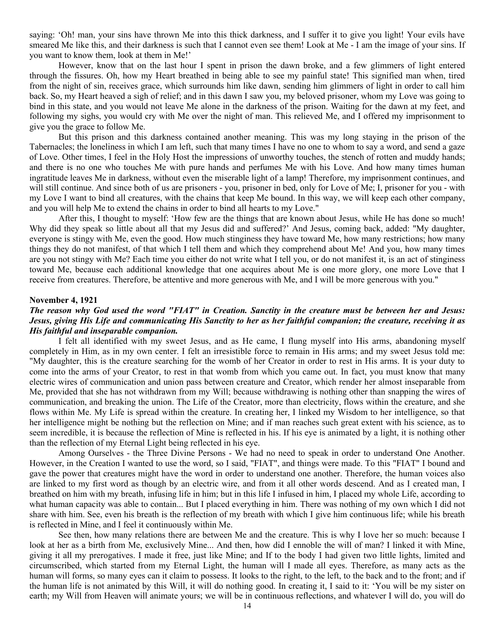saying: 'Oh! man, your sins have thrown Me into this thick darkness, and I suffer it to give you light! Your evils have smeared Me like this, and their darkness is such that I cannot even see them! Look at Me - I am the image of your sins. If you want to know them, look at them in Me!'

However, know that on the last hour I spent in prison the dawn broke, and a few glimmers of light entered through the fissures. Oh, how my Heart breathed in being able to see my painful state! This signified man when, tired from the night of sin, receives grace, which surrounds him like dawn, sending him glimmers of light in order to call him back. So, my Heart heaved a sigh of relief; and in this dawn I saw you, my beloved prisoner, whom my Love was going to bind in this state, and you would not leave Me alone in the darkness of the prison. Waiting for the dawn at my feet, and following my sighs, you would cry with Me over the night of man. This relieved Me, and I offered my imprisonment to give you the grace to follow Me.

But this prison and this darkness contained another meaning. This was my long staying in the prison of the Tabernacles; the loneliness in which I am left, such that many times I have no one to whom to say a word, and send a gaze of Love. Other times, I feel in the Holy Host the impressions of unworthy touches, the stench of rotten and muddy hands; and there is no one who touches Me with pure hands and perfumes Me with his Love. And how many times human ingratitude leaves Me in darkness, without even the miserable light of a lamp! Therefore, my imprisonment continues, and will still continue. And since both of us are prisoners - you, prisoner in bed, only for Love of Me; I, prisoner for you - with my Love I want to bind all creatures, with the chains that keep Me bound. In this way, we will keep each other company, and you will help Me to extend the chains in order to bind all hearts to my Love."

After this, I thought to myself: 'How few are the things that are known about Jesus, while He has done so much! Why did they speak so little about all that my Jesus did and suffered?' And Jesus, coming back, added: "My daughter, everyone is stingy with Me, even the good. How much stinginess they have toward Me, how many restrictions; how many things they do not manifest, of that which I tell them and which they comprehend about Me! And you, how many times are you not stingy with Me? Each time you either do not write what I tell you, or do not manifest it, is an act of stinginess toward Me, because each additional knowledge that one acquires about Me is one more glory, one more Love that I receive from creatures. Therefore, be attentive and more generous with Me, and I will be more generous with you."

#### **November 4, 1921**

# *The reason why God used the word "FIAT" in Creation. Sanctity in the creature must be between her and Jesus: Jesus, giving His Life and communicating His Sanctity to her as her faithful companion; the creature, receiving it as His faithful and inseparable companion.*

I felt all identified with my sweet Jesus, and as He came, I flung myself into His arms, abandoning myself completely in Him, as in my own center. I felt an irresistible force to remain in His arms; and my sweet Jesus told me: "My daughter, this is the creature searching for the womb of her Creator in order to rest in His arms. It is your duty to come into the arms of your Creator, to rest in that womb from which you came out. In fact, you must know that many electric wires of communication and union pass between creature and Creator, which render her almost inseparable from Me, provided that she has not withdrawn from my Will; because withdrawing is nothing other than snapping the wires of communication, and breaking the union. The Life of the Creator, more than electricity, flows within the creature, and she flows within Me. My Life is spread within the creature. In creating her, I linked my Wisdom to her intelligence, so that her intelligence might be nothing but the reflection on Mine; and if man reaches such great extent with his science, as to seem incredible, it is because the reflection of Mine is reflected in his. If his eye is animated by a light, it is nothing other than the reflection of my Eternal Light being reflected in his eye.

Among Ourselves - the Three Divine Persons - We had no need to speak in order to understand One Another. However, in the Creation I wanted to use the word, so I said, "FIAT", and things were made. To this "FIAT" I bound and gave the power that creatures might have the word in order to understand one another. Therefore, the human voices also are linked to my first word as though by an electric wire, and from it all other words descend. And as I created man, I breathed on him with my breath, infusing life in him; but in this life I infused in him, I placed my whole Life, according to what human capacity was able to contain... But I placed everything in him. There was nothing of my own which I did not share with him. See, even his breath is the reflection of my breath with which I give him continuous life; while his breath is reflected in Mine, and I feel it continuously within Me.

See then, how many relations there are between Me and the creature. This is why I love her so much: because I look at her as a birth from Me, exclusively Mine... And then, how did I ennoble the will of man? I linked it with Mine, giving it all my prerogatives. I made it free, just like Mine; and If to the body I had given two little lights, limited and circumscribed, which started from my Eternal Light, the human will I made all eyes. Therefore, as many acts as the human will forms, so many eyes can it claim to possess. It looks to the right, to the left, to the back and to the front; and if the human life is not animated by this Will, it will do nothing good. In creating it, I said to it: 'You will be my sister on earth; my Will from Heaven will animate yours; we will be in continuous reflections, and whatever I will do, you will do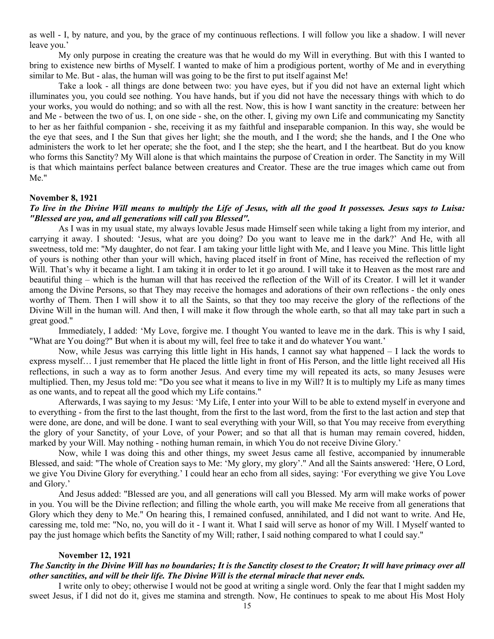as well - I, by nature, and you, by the grace of my continuous reflections. I will follow you like a shadow. I will never leave you.'

My only purpose in creating the creature was that he would do my Will in everything. But with this I wanted to bring to existence new births of Myself. I wanted to make of him a prodigious portent, worthy of Me and in everything similar to Me. But - alas, the human will was going to be the first to put itself against Me!

Take a look - all things are done between two: you have eyes, but if you did not have an external light which illuminates you, you could see nothing. You have hands, but if you did not have the necessary things with which to do your works, you would do nothing; and so with all the rest. Now, this is how I want sanctity in the creature: between her and Me - between the two of us. I, on one side - she, on the other. I, giving my own Life and communicating my Sanctity to her as her faithful companion - she, receiving it as my faithful and inseparable companion. In this way, she would be the eye that sees, and I the Sun that gives her light; she the mouth, and I the word; she the hands, and I the One who administers the work to let her operate; she the foot, and I the step; she the heart, and I the heartbeat. But do you know who forms this Sanctity? My Will alone is that which maintains the purpose of Creation in order. The Sanctity in my Will is that which maintains perfect balance between creatures and Creator. These are the true images which came out from Me."

#### **November 8, 1921**

# *To live in the Divine Will means to multiply the Life of Jesus, with all the good It possesses. Jesus says to Luisa: "Blessed are you, and all generations will call you Blessed".*

As I was in my usual state, my always lovable Jesus made Himself seen while taking a light from my interior, and carrying it away. I shouted: 'Jesus, what are you doing? Do you want to leave me in the dark?' And He, with all sweetness, told me: "My daughter, do not fear. I am taking your little light with Me, and I leave you Mine. This little light of yours is nothing other than your will which, having placed itself in front of Mine, has received the reflection of my Will. That's why it became a light. I am taking it in order to let it go around. I will take it to Heaven as the most rare and beautiful thing – which is the human will that has received the reflection of the Will of its Creator. I will let it wander among the Divine Persons, so that They may receive the homages and adorations of their own reflections - the only ones worthy of Them. Then I will show it to all the Saints, so that they too may receive the glory of the reflections of the Divine Will in the human will. And then, I will make it flow through the whole earth, so that all may take part in such a great good."

Immediately, I added: 'My Love, forgive me. I thought You wanted to leave me in the dark. This is why I said, "What are You doing?" But when it is about my will, feel free to take it and do whatever You want.'

Now, while Jesus was carrying this little light in His hands, I cannot say what happened – I lack the words to express myself… I just remember that He placed the little light in front of His Person, and the little light received all His reflections, in such a way as to form another Jesus. And every time my will repeated its acts, so many Jesuses were multiplied. Then, my Jesus told me: "Do you see what it means to live in my Will? It is to multiply my Life as many times as one wants, and to repeat all the good which my Life contains."

Afterwards, I was saying to my Jesus: 'My Life, I enter into your Will to be able to extend myself in everyone and to everything - from the first to the last thought, from the first to the last word, from the first to the last action and step that were done, are done, and will be done. I want to seal everything with your Will, so that You may receive from everything the glory of your Sanctity, of your Love, of your Power; and so that all that is human may remain covered, hidden, marked by your Will. May nothing - nothing human remain, in which You do not receive Divine Glory.'

Now, while I was doing this and other things, my sweet Jesus came all festive, accompanied by innumerable Blessed, and said: "The whole of Creation says to Me: 'My glory, my glory'." And all the Saints answered: 'Here, O Lord, we give You Divine Glory for everything.' I could hear an echo from all sides, saying: 'For everything we give You Love and Glory.'

And Jesus added: "Blessed are you, and all generations will call you Blessed. My arm will make works of power in you. You will be the Divine reflection; and filling the whole earth, you will make Me receive from all generations that Glory which they deny to Me." On hearing this, I remained confused, annihilated, and I did not want to write. And He, caressing me, told me: "No, no, you will do it - I want it. What I said will serve as honor of my Will. I Myself wanted to pay the just homage which befits the Sanctity of my Will; rather, I said nothing compared to what I could say."

### **November 12, 1921**

# *The Sanctity in the Divine Will has no boundaries; It is the Sanctity closest to the Creator; It will have primacy over all other sanctities, and will be their life. The Divine Will is the eternal miracle that never ends.*

I write only to obey; otherwise I would not be good at writing a single word. Only the fear that I might sadden my sweet Jesus, if I did not do it, gives me stamina and strength. Now, He continues to speak to me about His Most Holy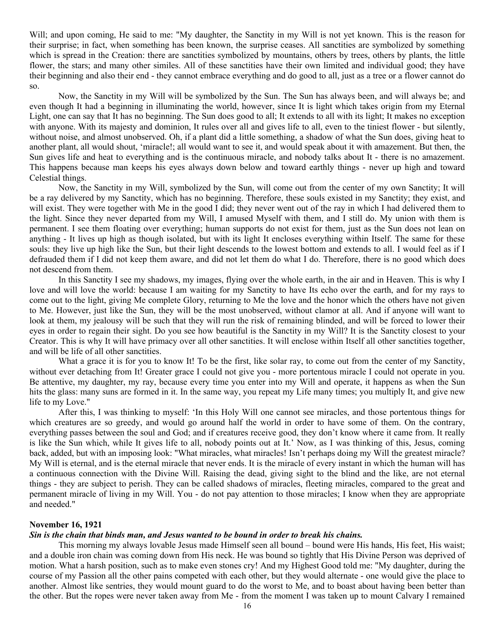Will; and upon coming, He said to me: "My daughter, the Sanctity in my Will is not yet known. This is the reason for their surprise; in fact, when something has been known, the surprise ceases. All sanctities are symbolized by something which is spread in the Creation: there are sanctities symbolized by mountains, others by trees, others by plants, the little flower, the stars; and many other similes. All of these sanctities have their own limited and individual good; they have their beginning and also their end - they cannot embrace everything and do good to all, just as a tree or a flower cannot do so.

Now, the Sanctity in my Will will be symbolized by the Sun. The Sun has always been, and will always be; and even though It had a beginning in illuminating the world, however, since It is light which takes origin from my Eternal Light, one can say that It has no beginning. The Sun does good to all; It extends to all with its light; It makes no exception with anyone. With its majesty and dominion, It rules over all and gives life to all, even to the tiniest flower - but silently, without noise, and almost unobserved. Oh, if a plant did a little something, a shadow of what the Sun does, giving heat to another plant, all would shout, 'miracle!; all would want to see it, and would speak about it with amazement. But then, the Sun gives life and heat to everything and is the continuous miracle, and nobody talks about It - there is no amazement. This happens because man keeps his eyes always down below and toward earthly things - never up high and toward Celestial things.

Now, the Sanctity in my Will, symbolized by the Sun, will come out from the center of my own Sanctity; It will be a ray delivered by my Sanctity, which has no beginning. Therefore, these souls existed in my Sanctity; they exist, and will exist. They were together with Me in the good I did; they never went out of the ray in which I had delivered them to the light. Since they never departed from my Will, I amused Myself with them, and I still do. My union with them is permanent. I see them floating over everything; human supports do not exist for them, just as the Sun does not lean on anything - It lives up high as though isolated, but with its light It encloses everything within Itself. The same for these souls: they live up high like the Sun, but their light descends to the lowest bottom and extends to all. I would feel as if I defrauded them if I did not keep them aware, and did not let them do what I do. Therefore, there is no good which does not descend from them.

In this Sanctity I see my shadows, my images, flying over the whole earth, in the air and in Heaven. This is why I love and will love the world: because I am waiting for my Sanctity to have Its echo over the earth, and for my rays to come out to the light, giving Me complete Glory, returning to Me the love and the honor which the others have not given to Me. However, just like the Sun, they will be the most unobserved, without clamor at all. And if anyone will want to look at them, my jealousy will be such that they will run the risk of remaining blinded, and will be forced to lower their eyes in order to regain their sight. Do you see how beautiful is the Sanctity in my Will? It is the Sanctity closest to your Creator. This is why It will have primacy over all other sanctities. It will enclose within Itself all other sanctities together, and will be life of all other sanctities.

What a grace it is for you to know It! To be the first, like solar ray, to come out from the center of my Sanctity, without ever detaching from It! Greater grace I could not give you - more portentous miracle I could not operate in you. Be attentive, my daughter, my ray, because every time you enter into my Will and operate, it happens as when the Sun hits the glass: many suns are formed in it. In the same way, you repeat my Life many times; you multiply It, and give new life to my Love."

After this, I was thinking to myself: 'In this Holy Will one cannot see miracles, and those portentous things for which creatures are so greedy, and would go around half the world in order to have some of them. On the contrary, everything passes between the soul and God; and if creatures receive good, they don't know where it came from. It really is like the Sun which, while It gives life to all, nobody points out at It.' Now, as I was thinking of this, Jesus, coming back, added, but with an imposing look: "What miracles, what miracles! Isn't perhaps doing my Will the greatest miracle? My Will is eternal, and is the eternal miracle that never ends. It is the miracle of every instant in which the human will has a continuous connection with the Divine Will. Raising the dead, giving sight to the blind and the like, are not eternal things - they are subject to perish. They can be called shadows of miracles, fleeting miracles, compared to the great and permanent miracle of living in my Will. You - do not pay attention to those miracles; I know when they are appropriate and needed."

#### **November 16, 1921**

#### *Sin is the chain that binds man, and Jesus wanted to be bound in order to break his chains.*

This morning my always lovable Jesus made Himself seen all bound – bound were His hands, His feet, His waist; and a double iron chain was coming down from His neck. He was bound so tightly that His Divine Person was deprived of motion. What a harsh position, such as to make even stones cry! And my Highest Good told me: "My daughter, during the course of my Passion all the other pains competed with each other, but they would alternate - one would give the place to another. Almost like sentries, they would mount guard to do the worst to Me, and to boast about having been better than the other. But the ropes were never taken away from Me - from the moment I was taken up to mount Calvary I remained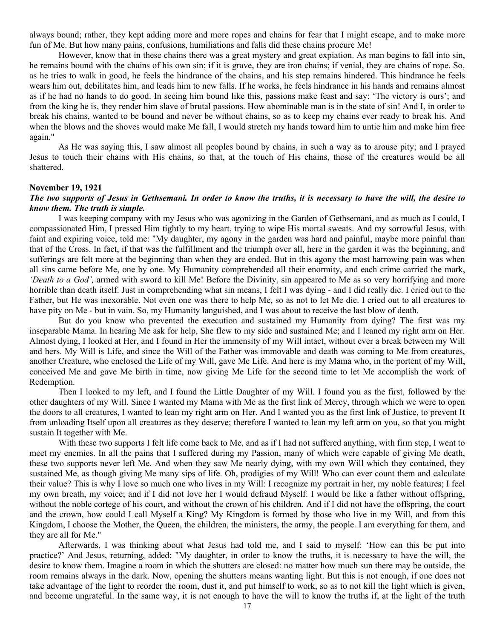always bound; rather, they kept adding more and more ropes and chains for fear that I might escape, and to make more fun of Me. But how many pains, confusions, humiliations and falls did these chains procure Me!

However, know that in these chains there was a great mystery and great expiation. As man begins to fall into sin, he remains bound with the chains of his own sin; if it is grave, they are iron chains; if venial, they are chains of rope. So, as he tries to walk in good, he feels the hindrance of the chains, and his step remains hindered. This hindrance he feels wears him out, debilitates him, and leads him to new falls. If he works, he feels hindrance in his hands and remains almost as if he had no hands to do good. In seeing him bound like this, passions make feast and say: 'The victory is ours'; and from the king he is, they render him slave of brutal passions. How abominable man is in the state of sin! And I, in order to break his chains, wanted to be bound and never be without chains, so as to keep my chains ever ready to break his. And when the blows and the shoves would make Me fall, I would stretch my hands toward him to untie him and make him free again."

As He was saying this, I saw almost all peoples bound by chains, in such a way as to arouse pity; and I prayed Jesus to touch their chains with His chains, so that, at the touch of His chains, those of the creatures would be all shattered.

#### **November 19, 1921**

### *The two supports of Jesus in Gethsemani. In order to know the truths, it is necessary to have the will, the desire to know them. The truth is simple.*

I was keeping company with my Jesus who was agonizing in the Garden of Gethsemani, and as much as I could, I compassionated Him, I pressed Him tightly to my heart, trying to wipe His mortal sweats. And my sorrowful Jesus, with faint and expiring voice, told me: "My daughter, my agony in the garden was hard and painful, maybe more painful than that of the Cross. In fact, if that was the fulfillment and the triumph over all, here in the garden it was the beginning, and sufferings are felt more at the beginning than when they are ended. But in this agony the most harrowing pain was when all sins came before Me, one by one. My Humanity comprehended all their enormity, and each crime carried the mark, *'Death to a God',* armed with sword to kill Me! Before the Divinity, sin appeared to Me as so very horrifying and more horrible than death itself. Just in comprehending what sin means, I felt I was dying - and I did really die. I cried out to the Father, but He was inexorable. Not even one was there to help Me, so as not to let Me die. I cried out to all creatures to have pity on Me - but in vain. So, my Humanity languished, and I was about to receive the last blow of death.

But do you know who prevented the execution and sustained my Humanity from dying? The first was my inseparable Mama. In hearing Me ask for help, She flew to my side and sustained Me; and I leaned my right arm on Her. Almost dying, I looked at Her, and I found in Her the immensity of my Will intact, without ever a break between my Will and hers. My Will is Life, and since the Will of the Father was immovable and death was coming to Me from creatures, another Creature, who enclosed the Life of my Will, gave Me Life. And here is my Mama who, in the portent of my Will, conceived Me and gave Me birth in time, now giving Me Life for the second time to let Me accomplish the work of Redemption.

Then I looked to my left, and I found the Little Daughter of my Will. I found you as the first, followed by the other daughters of my Will. Since I wanted my Mama with Me as the first link of Mercy, through which we were to open the doors to all creatures, I wanted to lean my right arm on Her. And I wanted you as the first link of Justice, to prevent It from unloading Itself upon all creatures as they deserve; therefore I wanted to lean my left arm on you, so that you might sustain It together with Me.

With these two supports I felt life come back to Me, and as if I had not suffered anything, with firm step, I went to meet my enemies. In all the pains that I suffered during my Passion, many of which were capable of giving Me death, these two supports never left Me. And when they saw Me nearly dying, with my own Will which they contained, they sustained Me, as though giving Me many sips of life. Oh, prodigies of my Will! Who can ever count them and calculate their value? This is why I love so much one who lives in my Will: I recognize my portrait in her, my noble features; I feel my own breath, my voice; and if I did not love her I would defraud Myself. I would be like a father without offspring, without the noble cortege of his court, and without the crown of his children. And if I did not have the offspring, the court and the crown, how could I call Myself a King? My Kingdom is formed by those who live in my Will, and from this Kingdom, I choose the Mother, the Queen, the children, the ministers, the army, the people. I am everything for them, and they are all for Me."

Afterwards, I was thinking about what Jesus had told me, and I said to myself: 'How can this be put into practice?' And Jesus, returning, added: "My daughter, in order to know the truths, it is necessary to have the will, the desire to know them. Imagine a room in which the shutters are closed: no matter how much sun there may be outside, the room remains always in the dark. Now, opening the shutters means wanting light. But this is not enough, if one does not take advantage of the light to reorder the room, dust it, and put himself to work, so as to not kill the light which is given, and become ungrateful. In the same way, it is not enough to have the will to know the truths if, at the light of the truth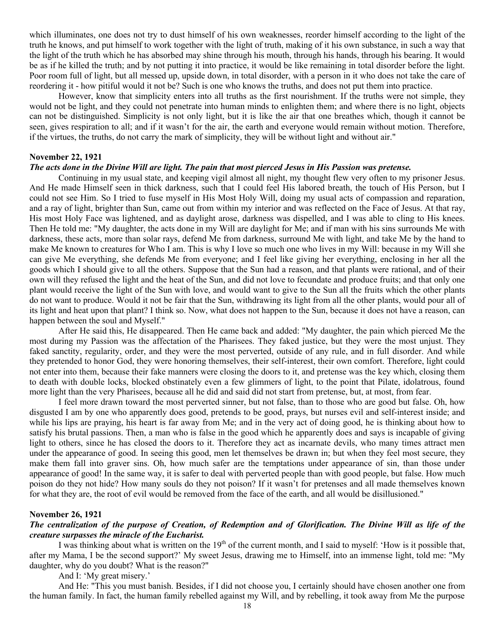which illuminates, one does not try to dust himself of his own weaknesses, reorder himself according to the light of the truth he knows, and put himself to work together with the light of truth, making of it his own substance, in such a way that the light of the truth which he has absorbed may shine through his mouth, through his hands, through his bearing. It would be as if he killed the truth; and by not putting it into practice, it would be like remaining in total disorder before the light. Poor room full of light, but all messed up, upside down, in total disorder, with a person in it who does not take the care of reordering it - how pitiful would it not be? Such is one who knows the truths, and does not put them into practice.

However, know that simplicity enters into all truths as the first nourishment. If the truths were not simple, they would not be light, and they could not penetrate into human minds to enlighten them; and where there is no light, objects can not be distinguished. Simplicity is not only light, but it is like the air that one breathes which, though it cannot be seen, gives respiration to all; and if it wasn't for the air, the earth and everyone would remain without motion. Therefore, if the virtues, the truths, do not carry the mark of simplicity, they will be without light and without air."

#### **November 22, 1921**

### *The acts done in the Divine Will are light. The pain that most pierced Jesus in His Passion was pretense.*

Continuing in my usual state, and keeping vigil almost all night, my thought flew very often to my prisoner Jesus. And He made Himself seen in thick darkness, such that I could feel His labored breath, the touch of His Person, but I could not see Him. So I tried to fuse myself in His Most Holy Will, doing my usual acts of compassion and reparation, and a ray of light, brighter than Sun, came out from within my interior and was reflected on the Face of Jesus. At that ray, His most Holy Face was lightened, and as daylight arose, darkness was dispelled, and I was able to cling to His knees. Then He told me: "My daughter, the acts done in my Will are daylight for Me; and if man with his sins surrounds Me with darkness, these acts, more than solar rays, defend Me from darkness, surround Me with light, and take Me by the hand to make Me known to creatures for Who I am. This is why I love so much one who lives in my Will: because in my Will she can give Me everything, she defends Me from everyone; and I feel like giving her everything, enclosing in her all the goods which I should give to all the others. Suppose that the Sun had a reason, and that plants were rational, and of their own will they refused the light and the heat of the Sun, and did not love to fecundate and produce fruits; and that only one plant would receive the light of the Sun with love, and would want to give to the Sun all the fruits which the other plants do not want to produce. Would it not be fair that the Sun, withdrawing its light from all the other plants, would pour all of its light and heat upon that plant? I think so. Now, what does not happen to the Sun, because it does not have a reason, can happen between the soul and Myself."

After He said this, He disappeared. Then He came back and added: "My daughter, the pain which pierced Me the most during my Passion was the affectation of the Pharisees. They faked justice, but they were the most unjust. They faked sanctity, regularity, order, and they were the most perverted, outside of any rule, and in full disorder. And while they pretended to honor God, they were honoring themselves, their self-interest, their own comfort. Therefore, light could not enter into them, because their fake manners were closing the doors to it, and pretense was the key which, closing them to death with double locks, blocked obstinately even a few glimmers of light, to the point that Pilate, idolatrous, found more light than the very Pharisees, because all he did and said did not start from pretense, but, at most, from fear.

I feel more drawn toward the most perverted sinner, but not false, than to those who are good but false. Oh, how disgusted I am by one who apparently does good, pretends to be good, prays, but nurses evil and self-interest inside; and while his lips are praying, his heart is far away from Me; and in the very act of doing good, he is thinking about how to satisfy his brutal passions. Then, a man who is false in the good which he apparently does and says is incapable of giving light to others, since he has closed the doors to it. Therefore they act as incarnate devils, who many times attract men under the appearance of good. In seeing this good, men let themselves be drawn in; but when they feel most secure, they make them fall into graver sins. Oh, how much safer are the temptations under appearance of sin, than those under appearance of good! In the same way, it is safer to deal with perverted people than with good people, but false. How much poison do they not hide? How many souls do they not poison? If it wasn't for pretenses and all made themselves known for what they are, the root of evil would be removed from the face of the earth, and all would be disillusioned."

# **November 26, 1921**

# *The centralization of the purpose of Creation, of Redemption and of Glorification. The Divine Will as life of the creature surpasses the miracle of the Eucharist.*

I was thinking about what is written on the  $19<sup>th</sup>$  of the current month, and I said to myself: 'How is it possible that, after my Mama, I be the second support?' My sweet Jesus, drawing me to Himself, into an immense light, told me: "My daughter, why do you doubt? What is the reason?"

And I: 'My great misery.'

And He: "This you must banish. Besides, if I did not choose you, I certainly should have chosen another one from the human family. In fact, the human family rebelled against my Will, and by rebelling, it took away from Me the purpose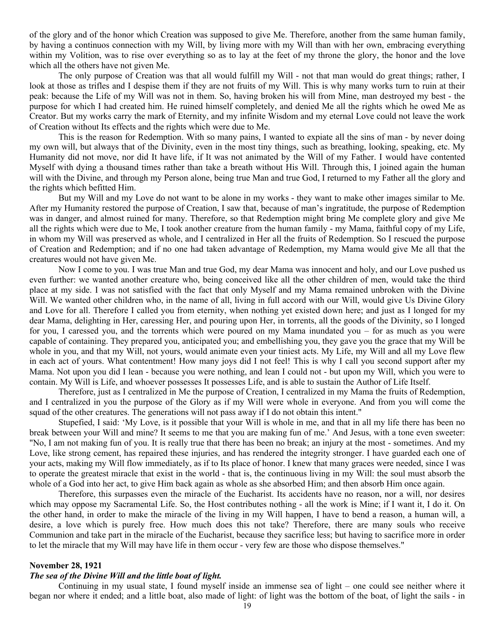of the glory and of the honor which Creation was supposed to give Me. Therefore, another from the same human family, by having a continuos connection with my Will, by living more with my Will than with her own, embracing everything within my Volition, was to rise over everything so as to lay at the feet of my throne the glory, the honor and the love which all the others have not given Me.

The only purpose of Creation was that all would fulfill my Will - not that man would do great things; rather, I look at those as trifles and I despise them if they are not fruits of my Will. This is why many works turn to ruin at their peak: because the Life of my Will was not in them. So, having broken his will from Mine, man destroyed my best - the purpose for which I had created him. He ruined himself completely, and denied Me all the rights which he owed Me as Creator. But my works carry the mark of Eternity, and my infinite Wisdom and my eternal Love could not leave the work of Creation without Its effects and the rights which were due to Me.

This is the reason for Redemption. With so many pains, I wanted to expiate all the sins of man - by never doing my own will, but always that of the Divinity, even in the most tiny things, such as breathing, looking, speaking, etc. My Humanity did not move, nor did It have life, if It was not animated by the Will of my Father. I would have contented Myself with dying a thousand times rather than take a breath without His Will. Through this, I joined again the human will with the Divine, and through my Person alone, being true Man and true God, I returned to my Father all the glory and the rights which befitted Him.

But my Will and my Love do not want to be alone in my works - they want to make other images similar to Me. After my Humanity restored the purpose of Creation, I saw that, because of man's ingratitude, the purpose of Redemption was in danger, and almost ruined for many. Therefore, so that Redemption might bring Me complete glory and give Me all the rights which were due to Me, I took another creature from the human family - my Mama, faithful copy of my Life, in whom my Will was preserved as whole, and I centralized in Her all the fruits of Redemption. So I rescued the purpose of Creation and Redemption; and if no one had taken advantage of Redemption, my Mama would give Me all that the creatures would not have given Me.

Now I come to you. I was true Man and true God, my dear Mama was innocent and holy, and our Love pushed us even further: we wanted another creature who, being conceived like all the other children of men, would take the third place at my side. I was not satisfied with the fact that only Myself and my Mama remained unbroken with the Divine Will. We wanted other children who, in the name of all, living in full accord with our Will, would give Us Divine Glory and Love for all. Therefore I called you from eternity, when nothing yet existed down here; and just as I longed for my dear Mama, delighting in Her, caressing Her, and pouring upon Her, in torrents, all the goods of the Divinity, so I longed for you, I caressed you, and the torrents which were poured on my Mama inundated you – for as much as you were capable of containing. They prepared you, anticipated you; and embellishing you, they gave you the grace that my Will be whole in you, and that my Will, not yours, would animate even your tiniest acts. My Life, my Will and all my Love flew in each act of yours. What contentment! How many joys did I not feel! This is why I call you second support after my Mama. Not upon you did I lean - because you were nothing, and lean I could not - but upon my Will, which you were to contain. My Will is Life, and whoever possesses It possesses Life, and is able to sustain the Author of Life Itself.

Therefore, just as I centralized in Me the purpose of Creation, I centralized in my Mama the fruits of Redemption, and I centralized in you the purpose of the Glory as if my Will were whole in everyone. And from you will come the squad of the other creatures. The generations will not pass away if I do not obtain this intent."

Stupefied, I said: 'My Love, is it possible that your Will is whole in me, and that in all my life there has been no break between your Will and mine? It seems to me that you are making fun of me.' And Jesus, with a tone even sweeter: "No, I am not making fun of you. It is really true that there has been no break; an injury at the most - sometimes. And my Love, like strong cement, has repaired these injuries, and has rendered the integrity stronger. I have guarded each one of your acts, making my Will flow immediately, as if to Its place of honor. I knew that many graces were needed, since I was to operate the greatest miracle that exist in the world - that is, the continuous living in my Will: the soul must absorb the whole of a God into her act, to give Him back again as whole as she absorbed Him; and then absorb Him once again.

Therefore, this surpasses even the miracle of the Eucharist. Its accidents have no reason, nor a will, nor desires which may oppose my Sacramental Life. So, the Host contributes nothing - all the work is Mine; if I want it, I do it. On the other hand, in order to make the miracle of the living in my Will happen, I have to bend a reason, a human will, a desire, a love which is purely free. How much does this not take? Therefore, there are many souls who receive Communion and take part in the miracle of the Eucharist, because they sacrifice less; but having to sacrifice more in order to let the miracle that my Will may have life in them occur - very few are those who dispose themselves."

# **November 28, 1921**

# *The sea of the Divine Will and the little boat of light.*

Continuing in my usual state, I found myself inside an immense sea of light – one could see neither where it began nor where it ended; and a little boat, also made of light: of light was the bottom of the boat, of light the sails - in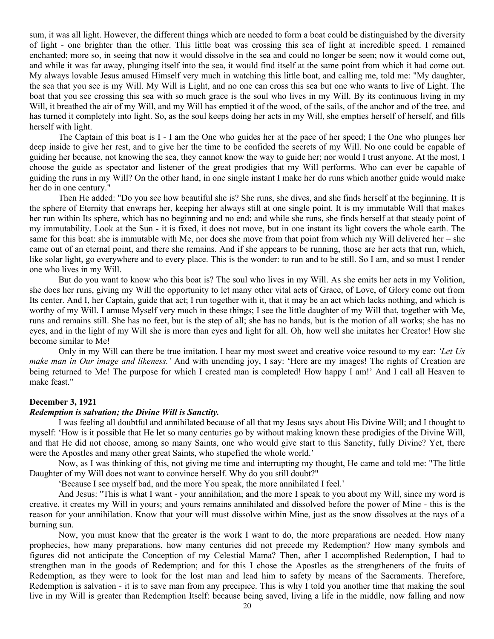sum, it was all light. However, the different things which are needed to form a boat could be distinguished by the diversity of light - one brighter than the other. This little boat was crossing this sea of light at incredible speed. I remained enchanted; more so, in seeing that now it would dissolve in the sea and could no longer be seen; now it would come out, and while it was far away, plunging itself into the sea, it would find itself at the same point from which it had come out. My always lovable Jesus amused Himself very much in watching this little boat, and calling me, told me: "My daughter, the sea that you see is my Will. My Will is Light, and no one can cross this sea but one who wants to live of Light. The boat that you see crossing this sea with so much grace is the soul who lives in my Will. By its continuous living in my Will, it breathed the air of my Will, and my Will has emptied it of the wood, of the sails, of the anchor and of the tree, and has turned it completely into light. So, as the soul keeps doing her acts in my Will, she empties herself of herself, and fills herself with light.

The Captain of this boat is I - I am the One who guides her at the pace of her speed; I the One who plunges her deep inside to give her rest, and to give her the time to be confided the secrets of my Will. No one could be capable of guiding her because, not knowing the sea, they cannot know the way to guide her; nor would I trust anyone. At the most, I choose the guide as spectator and listener of the great prodigies that my Will performs. Who can ever be capable of guiding the runs in my Will? On the other hand, in one single instant I make her do runs which another guide would make her do in one century."

Then He added: "Do you see how beautiful she is? She runs, she dives, and she finds herself at the beginning. It is the sphere of Eternity that enwraps her, keeping her always still at one single point. It is my immutable Will that makes her run within Its sphere, which has no beginning and no end; and while she runs, she finds herself at that steady point of my immutability. Look at the Sun - it is fixed, it does not move, but in one instant its light covers the whole earth. The same for this boat: she is immutable with Me, nor does she move from that point from which my Will delivered her – she came out of an eternal point, and there she remains. And if she appears to be running, those are her acts that run, which, like solar light, go everywhere and to every place. This is the wonder: to run and to be still. So I am, and so must I render one who lives in my Will.

But do you want to know who this boat is? The soul who lives in my Will. As she emits her acts in my Volition, she does her runs, giving my Will the opportunity to let many other vital acts of Grace, of Love, of Glory come out from Its center. And I, her Captain, guide that act; I run together with it, that it may be an act which lacks nothing, and which is worthy of my Will. I amuse Myself very much in these things; I see the little daughter of my Will that, together with Me, runs and remains still. She has no feet, but is the step of all; she has no hands, but is the motion of all works; she has no eyes, and in the light of my Will she is more than eyes and light for all. Oh, how well she imitates her Creator! How she become similar to Me!

Only in my Will can there be true imitation. I hear my most sweet and creative voice resound to my ear: *'Let Us make man in Our image and likeness.'* And with unending joy, I say: 'Here are my images! The rights of Creation are being returned to Me! The purpose for which I created man is completed! How happy I am!' And I call all Heaven to make feast."

#### **December 3, 1921**

# *Redemption is salvation; the Divine Will is Sanctity.*

I was feeling all doubtful and annihilated because of all that my Jesus says about His Divine Will; and I thought to myself: 'How is it possible that He let so many centuries go by without making known these prodigies of the Divine Will, and that He did not choose, among so many Saints, one who would give start to this Sanctity, fully Divine? Yet, there were the Apostles and many other great Saints, who stupefied the whole world.'

Now, as I was thinking of this, not giving me time and interrupting my thought, He came and told me: "The little Daughter of my Will does not want to convince herself. Why do you still doubt?"

'Because I see myself bad, and the more You speak, the more annihilated I feel.'

And Jesus: "This is what I want - your annihilation; and the more I speak to you about my Will, since my word is creative, it creates my Will in yours; and yours remains annihilated and dissolved before the power of Mine - this is the reason for your annihilation. Know that your will must dissolve within Mine, just as the snow dissolves at the rays of a burning sun.

Now, you must know that the greater is the work I want to do, the more preparations are needed. How many prophecies, how many preparations, how many centuries did not precede my Redemption? How many symbols and figures did not anticipate the Conception of my Celestial Mama? Then, after I accomplished Redemption, I had to strengthen man in the goods of Redemption; and for this I chose the Apostles as the strengtheners of the fruits of Redemption, as they were to look for the lost man and lead him to safety by means of the Sacraments. Therefore, Redemption is salvation - it is to save man from any precipice. This is why I told you another time that making the soul live in my Will is greater than Redemption Itself: because being saved, living a life in the middle, now falling and now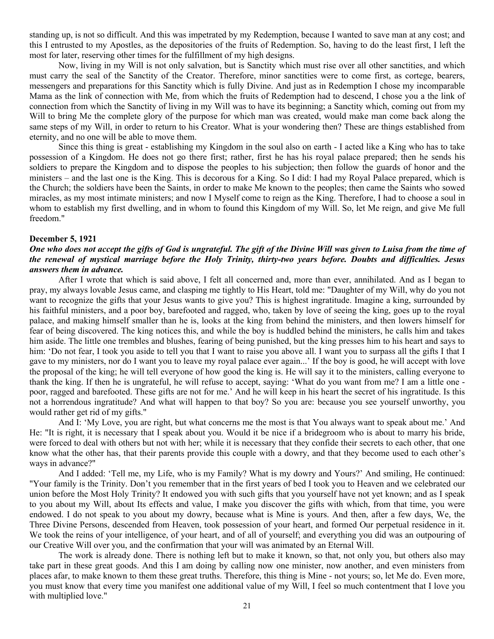standing up, is not so difficult. And this was impetrated by my Redemption, because I wanted to save man at any cost; and this I entrusted to my Apostles, as the depositories of the fruits of Redemption. So, having to do the least first, I left the most for later, reserving other times for the fulfillment of my high designs.

Now, living in my Will is not only salvation, but is Sanctity which must rise over all other sanctities, and which must carry the seal of the Sanctity of the Creator. Therefore, minor sanctities were to come first, as cortege, bearers, messengers and preparations for this Sanctity which is fully Divine. And just as in Redemption I chose my incomparable Mama as the link of connection with Me, from which the fruits of Redemption had to descend, I chose you a the link of connection from which the Sanctity of living in my Will was to have its beginning; a Sanctity which, coming out from my Will to bring Me the complete glory of the purpose for which man was created, would make man come back along the same steps of my Will, in order to return to his Creator. What is your wondering then? These are things established from eternity, and no one will be able to move them.

Since this thing is great - establishing my Kingdom in the soul also on earth - I acted like a King who has to take possession of a Kingdom. He does not go there first; rather, first he has his royal palace prepared; then he sends his soldiers to prepare the Kingdom and to dispose the peoples to his subjection; then follow the guards of honor and the ministers – and the last one is the King. This is decorous for a King. So I did: I had my Royal Palace prepared, which is the Church; the soldiers have been the Saints, in order to make Me known to the peoples; then came the Saints who sowed miracles, as my most intimate ministers; and now I Myself come to reign as the King. Therefore, I had to choose a soul in whom to establish my first dwelling, and in whom to found this Kingdom of my Will. So, let Me reign, and give Me full freedom."

#### **December 5, 1921**

# *One who does not accept the gifts of God is ungrateful. The gift of the Divine Will was given to Luisa from the time of the renewal of mystical marriage before the Holy Trinity, thirty-two years before. Doubts and difficulties. Jesus answers them in advance.*

After I wrote that which is said above, I felt all concerned and, more than ever, annihilated. And as I began to pray, my always lovable Jesus came, and clasping me tightly to His Heart, told me: "Daughter of my Will, why do you not want to recognize the gifts that your Jesus wants to give you? This is highest ingratitude. Imagine a king, surrounded by his faithful ministers, and a poor boy, barefooted and ragged, who, taken by love of seeing the king, goes up to the royal palace, and making himself smaller than he is, looks at the king from behind the ministers, and then lowers himself for fear of being discovered. The king notices this, and while the boy is huddled behind the ministers, he calls him and takes him aside. The little one trembles and blushes, fearing of being punished, but the king presses him to his heart and says to him: 'Do not fear, I took you aside to tell you that I want to raise you above all. I want you to surpass all the gifts I that I gave to my ministers, nor do I want you to leave my royal palace ever again...' If the boy is good, he will accept with love the proposal of the king; he will tell everyone of how good the king is. He will say it to the ministers, calling everyone to thank the king. If then he is ungrateful, he will refuse to accept, saying: 'What do you want from me? I am a little one poor, ragged and barefooted. These gifts are not for me.' And he will keep in his heart the secret of his ingratitude. Is this not a horrendous ingratitude? And what will happen to that boy? So you are: because you see yourself unworthy, you would rather get rid of my gifts."

And I: 'My Love, you are right, but what concerns me the most is that You always want to speak about me.' And He: "It is right, it is necessary that I speak about you. Would it be nice if a bridegroom who is about to marry his bride, were forced to deal with others but not with her; while it is necessary that they confide their secrets to each other, that one know what the other has, that their parents provide this couple with a dowry, and that they become used to each other's ways in advance?"

And I added: 'Tell me, my Life, who is my Family? What is my dowry and Yours?' And smiling, He continued: "Your family is the Trinity. Don't you remember that in the first years of bed I took you to Heaven and we celebrated our union before the Most Holy Trinity? It endowed you with such gifts that you yourself have not yet known; and as I speak to you about my Will, about Its effects and value, I make you discover the gifts with which, from that time, you were endowed. I do not speak to you about my dowry, because what is Mine is yours. And then, after a few days, We, the Three Divine Persons, descended from Heaven, took possession of your heart, and formed Our perpetual residence in it. We took the reins of your intelligence, of your heart, and of all of yourself; and everything you did was an outpouring of our Creative Will over you, and the confirmation that your will was animated by an Eternal Will.

The work is already done. There is nothing left but to make it known, so that, not only you, but others also may take part in these great goods. And this I am doing by calling now one minister, now another, and even ministers from places afar, to make known to them these great truths. Therefore, this thing is Mine - not yours; so, let Me do. Even more, you must know that every time you manifest one additional value of my Will, I feel so much contentment that I love you with multiplied love."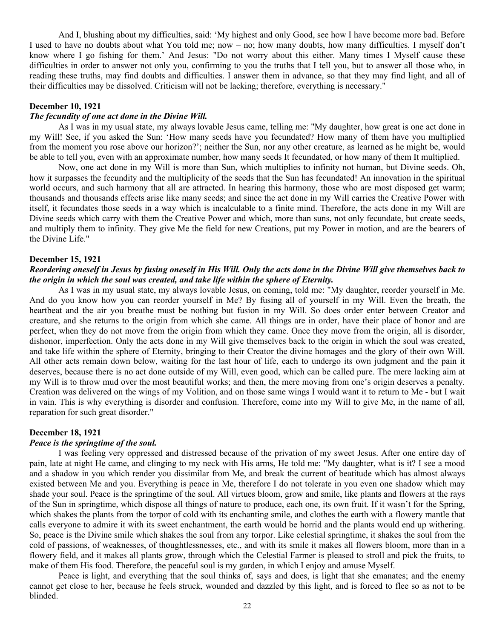And I, blushing about my difficulties, said: 'My highest and only Good, see how I have become more bad. Before I used to have no doubts about what You told me; now – no; how many doubts, how many difficulties. I myself don't know where I go fishing for them.' And Jesus: "Do not worry about this either. Many times I Myself cause these difficulties in order to answer not only you, confirming to you the truths that I tell you, but to answer all those who, in reading these truths, may find doubts and difficulties. I answer them in advance, so that they may find light, and all of their difficulties may be dissolved. Criticism will not be lacking; therefore, everything is necessary."

# **December 10, 1921**

# *The fecundity of one act done in the Divine Will.*

As I was in my usual state, my always lovable Jesus came, telling me: "My daughter, how great is one act done in my Will! See, if you asked the Sun: 'How many seeds have you fecundated? How many of them have you multiplied from the moment you rose above our horizon?'; neither the Sun, nor any other creature, as learned as he might be, would be able to tell you, even with an approximate number, how many seeds It fecundated, or how many of them It multiplied.

Now, one act done in my Will is more than Sun, which multiplies to infinity not human, but Divine seeds. Oh, how it surpasses the fecundity and the multiplicity of the seeds that the Sun has fecundated! An innovation in the spiritual world occurs, and such harmony that all are attracted. In hearing this harmony, those who are most disposed get warm; thousands and thousands effects arise like many seeds; and since the act done in my Will carries the Creative Power with itself, it fecundates those seeds in a way which is incalculable to a finite mind. Therefore, the acts done in my Will are Divine seeds which carry with them the Creative Power and which, more than suns, not only fecundate, but create seeds, and multiply them to infinity. They give Me the field for new Creations, put my Power in motion, and are the bearers of the Divine Life."

#### **December 15, 1921**

### *Reordering oneself in Jesus by fusing oneself in His Will. Only the acts done in the Divine Will give themselves back to the origin in which the soul was created, and take life within the sphere of Eternity.*

As I was in my usual state, my always lovable Jesus, on coming, told me: "My daughter, reorder yourself in Me. And do you know how you can reorder yourself in Me? By fusing all of yourself in my Will. Even the breath, the heartbeat and the air you breathe must be nothing but fusion in my Will. So does order enter between Creator and creature, and she returns to the origin from which she came. All things are in order, have their place of honor and are perfect, when they do not move from the origin from which they came. Once they move from the origin, all is disorder, dishonor, imperfection. Only the acts done in my Will give themselves back to the origin in which the soul was created, and take life within the sphere of Eternity, bringing to their Creator the divine homages and the glory of their own Will. All other acts remain down below, waiting for the last hour of life, each to undergo its own judgment and the pain it deserves, because there is no act done outside of my Will, even good, which can be called pure. The mere lacking aim at my Will is to throw mud over the most beautiful works; and then, the mere moving from one's origin deserves a penalty. Creation was delivered on the wings of my Volition, and on those same wings I would want it to return to Me - but I wait in vain. This is why everything is disorder and confusion. Therefore, come into my Will to give Me, in the name of all, reparation for such great disorder."

#### **December 18, 1921**

#### *Peace is the springtime of the soul.*

I was feeling very oppressed and distressed because of the privation of my sweet Jesus. After one entire day of pain, late at night He came, and clinging to my neck with His arms, He told me: "My daughter, what is it? I see a mood and a shadow in you which render you dissimilar from Me, and break the current of beatitude which has almost always existed between Me and you. Everything is peace in Me, therefore I do not tolerate in you even one shadow which may shade your soul. Peace is the springtime of the soul. All virtues bloom, grow and smile, like plants and flowers at the rays of the Sun in springtime, which dispose all things of nature to produce, each one, its own fruit. If it wasn't for the Spring, which shakes the plants from the torpor of cold with its enchanting smile, and clothes the earth with a flowery mantle that calls everyone to admire it with its sweet enchantment, the earth would be horrid and the plants would end up withering. So, peace is the Divine smile which shakes the soul from any torpor. Like celestial springtime, it shakes the soul from the cold of passions, of weaknesses, of thoughtlessnesses, etc., and with its smile it makes all flowers bloom, more than in a flowery field, and it makes all plants grow, through which the Celestial Farmer is pleased to stroll and pick the fruits, to make of them His food. Therefore, the peaceful soul is my garden, in which I enjoy and amuse Myself.

Peace is light, and everything that the soul thinks of, says and does, is light that she emanates; and the enemy cannot get close to her, because he feels struck, wounded and dazzled by this light, and is forced to flee so as not to be blinded.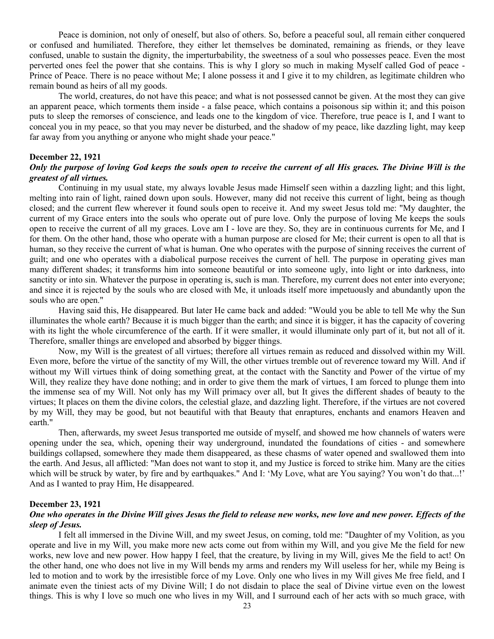Peace is dominion, not only of oneself, but also of others. So, before a peaceful soul, all remain either conquered or confused and humiliated. Therefore, they either let themselves be dominated, remaining as friends, or they leave confused, unable to sustain the dignity, the imperturbability, the sweetness of a soul who possesses peace. Even the most perverted ones feel the power that she contains. This is why I glory so much in making Myself called God of peace - Prince of Peace. There is no peace without Me; I alone possess it and I give it to my children, as legitimate children who remain bound as heirs of all my goods.

The world, creatures, do not have this peace; and what is not possessed cannot be given. At the most they can give an apparent peace, which torments them inside - a false peace, which contains a poisonous sip within it; and this poison puts to sleep the remorses of conscience, and leads one to the kingdom of vice. Therefore, true peace is I, and I want to conceal you in my peace, so that you may never be disturbed, and the shadow of my peace, like dazzling light, may keep far away from you anything or anyone who might shade your peace."

#### **December 22, 1921**

# *Only the purpose of loving God keeps the souls open to receive the current of all His graces. The Divine Will is the greatest of all virtues.*

Continuing in my usual state, my always lovable Jesus made Himself seen within a dazzling light; and this light, melting into rain of light, rained down upon souls. However, many did not receive this current of light, being as though closed; and the current flew wherever it found souls open to receive it. And my sweet Jesus told me: "My daughter, the current of my Grace enters into the souls who operate out of pure love. Only the purpose of loving Me keeps the souls open to receive the current of all my graces. Love am I - love are they. So, they are in continuous currents for Me, and I for them. On the other hand, those who operate with a human purpose are closed for Me; their current is open to all that is human, so they receive the current of what is human. One who operates with the purpose of sinning receives the current of guilt; and one who operates with a diabolical purpose receives the current of hell. The purpose in operating gives man many different shades; it transforms him into someone beautiful or into someone ugly, into light or into darkness, into sanctity or into sin. Whatever the purpose in operating is, such is man. Therefore, my current does not enter into everyone; and since it is rejected by the souls who are closed with Me, it unloads itself more impetuously and abundantly upon the souls who are open."

Having said this, He disappeared. But later He came back and added: "Would you be able to tell Me why the Sun illuminates the whole earth? Because it is much bigger than the earth; and since it is bigger, it has the capacity of covering with its light the whole circumference of the earth. If it were smaller, it would illuminate only part of it, but not all of it. Therefore, smaller things are enveloped and absorbed by bigger things.

Now, my Will is the greatest of all virtues; therefore all virtues remain as reduced and dissolved within my Will. Even more, before the virtue of the sanctity of my Will, the other virtues tremble out of reverence toward my Will. And if without my Will virtues think of doing something great, at the contact with the Sanctity and Power of the virtue of my Will, they realize they have done nothing; and in order to give them the mark of virtues, I am forced to plunge them into the immense sea of my Will. Not only has my Will primacy over all, but It gives the different shades of beauty to the virtues; It places on them the divine colors, the celestial glaze, and dazzling light. Therefore, if the virtues are not covered by my Will, they may be good, but not beautiful with that Beauty that enraptures, enchants and enamors Heaven and earth."

Then, afterwards, my sweet Jesus transported me outside of myself, and showed me how channels of waters were opening under the sea, which, opening their way underground, inundated the foundations of cities - and somewhere buildings collapsed, somewhere they made them disappeared, as these chasms of water opened and swallowed them into the earth. And Jesus, all afflicted: "Man does not want to stop it, and my Justice is forced to strike him. Many are the cities which will be struck by water, by fire and by earthquakes." And I: 'My Love, what are You saying? You won't do that...!' And as I wanted to pray Him, He disappeared.

#### **December 23, 1921**

# *One who operates in the Divine Will gives Jesus the field to release new works, new love and new power. Effects of the sleep of Jesus.*

I felt all immersed in the Divine Will, and my sweet Jesus, on coming, told me: "Daughter of my Volition, as you operate and live in my Will, you make more new acts come out from within my Will, and you give Me the field for new works, new love and new power. How happy I feel, that the creature, by living in my Will, gives Me the field to act! On the other hand, one who does not live in my Will bends my arms and renders my Will useless for her, while my Being is led to motion and to work by the irresistible force of my Love. Only one who lives in my Will gives Me free field, and I animate even the tiniest acts of my Divine Will; I do not disdain to place the seal of Divine virtue even on the lowest things. This is why I love so much one who lives in my Will, and I surround each of her acts with so much grace, with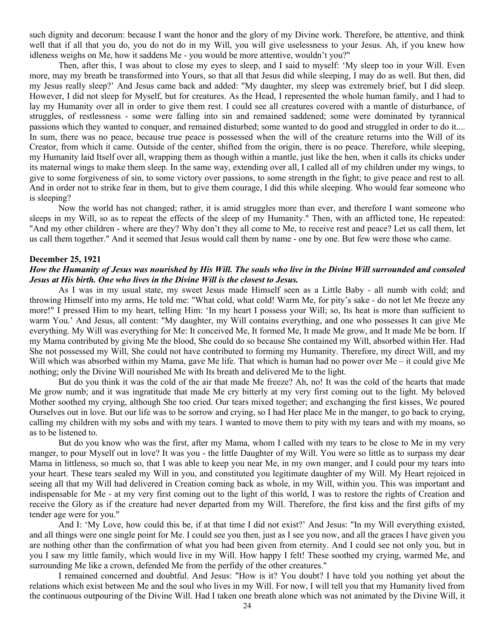such dignity and decorum: because I want the honor and the glory of my Divine work. Therefore, be attentive, and think well that if all that you do, you do not do in my Will, you will give uselessness to your Jesus. Ah, if you knew how idleness weighs on Me, how it saddens Me - you would be more attentive, wouldn't you?"

Then, after this, I was about to close my eyes to sleep, and I said to myself: 'My sleep too in your Will. Even more, may my breath be transformed into Yours, so that all that Jesus did while sleeping, I may do as well. But then, did my Jesus really sleep?' And Jesus came back and added: "My daughter, my sleep was extremely brief, but I did sleep. However, I did not sleep for Myself, but for creatures. As the Head, I represented the whole human family, and I had to lay my Humanity over all in order to give them rest. I could see all creatures covered with a mantle of disturbance, of struggles, of restlessness - some were falling into sin and remained saddened; some were dominated by tyrannical passions which they wanted to conquer, and remained disturbed; some wanted to do good and struggled in order to do it.... In sum, there was no peace, because true peace is possessed when the will of the creature returns into the Will of its Creator, from which it came. Outside of the center, shifted from the origin, there is no peace. Therefore, while sleeping, my Humanity laid Itself over all, wrapping them as though within a mantle, just like the hen, when it calls its chicks under its maternal wings to make them sleep. In the same way, extending over all, I called all of my children under my wings, to give to some forgiveness of sin, to some victory over passions, to some strength in the fight; to give peace and rest to all. And in order not to strike fear in them, but to give them courage, I did this while sleeping. Who would fear someone who is sleeping?

Now the world has not changed; rather, it is amid struggles more than ever, and therefore I want someone who sleeps in my Will, so as to repeat the effects of the sleep of my Humanity." Then, with an afflicted tone, He repeated: "And my other children - where are they? Why don't they all come to Me, to receive rest and peace? Let us call them, let us call them together." And it seemed that Jesus would call them by name - one by one. But few were those who came.

#### **December 25, 1921**

# *How the Humanity of Jesus was nourished by His Will. The souls who live in the Divine Will surrounded and consoled Jesus at His birth. One who lives in the Divine Will is the closest to Jesus.*

As I was in my usual state, my sweet Jesus made Himself seen as a Little Baby - all numb with cold; and throwing Himself into my arms, He told me: "What cold, what cold! Warm Me, for pity's sake - do not let Me freeze any more!" I pressed Him to my heart, telling Him: 'In my heart I possess your Will; so, Its heat is more than sufficient to warm You.' And Jesus, all content: "My daughter, my Will contains everything, and one who possesses It can give Me everything. My Will was everything for Me: It conceived Me, It formed Me, It made Me grow, and It made Me be born. If my Mama contributed by giving Me the blood, She could do so because She contained my Will, absorbed within Her. Had She not possessed my Will, She could not have contributed to forming my Humanity. Therefore, my direct Will, and my Will which was absorbed within my Mama, gave Me life. That which is human had no power over Me – it could give Me nothing; only the Divine Will nourished Me with Its breath and delivered Me to the light.

But do you think it was the cold of the air that made Me freeze? Ah, no! It was the cold of the hearts that made Me grow numb; and it was ingratitude that made Me cry bitterly at my very first coming out to the light. My beloved Mother soothed my crying, although She too cried. Our tears mixed together; and exchanging the first kisses, We poured Ourselves out in love. But our life was to be sorrow and crying, so I had Her place Me in the manger, to go back to crying, calling my children with my sobs and with my tears. I wanted to move them to pity with my tears and with my moans, so as to be listened to.

But do you know who was the first, after my Mama, whom I called with my tears to be close to Me in my very manger, to pour Myself out in love? It was you - the little Daughter of my Will. You were so little as to surpass my dear Mama in littleness, so much so, that I was able to keep you near Me, in my own manger, and I could pour my tears into your heart. These tears sealed my Will in you, and constituted you legitimate daughter of my Will. My Heart rejoiced in seeing all that my Will had delivered in Creation coming back as whole, in my Will, within you. This was important and indispensable for Me - at my very first coming out to the light of this world, I was to restore the rights of Creation and receive the Glory as if the creature had never departed from my Will. Therefore, the first kiss and the first gifts of my tender age were for you."

And I: 'My Love, how could this be, if at that time I did not exist?' And Jesus: "In my Will everything existed, and all things were one single point for Me. I could see you then, just as I see you now, and all the graces I have given you are nothing other than the confirmation of what you had been given from eternity. And I could see not only you, but in you I saw my little family, which would live in my Will. How happy I felt! These soothed my crying, warmed Me, and surrounding Me like a crown, defended Me from the perfidy of the other creatures."

I remained concerned and doubtful. And Jesus: "How is it? You doubt? I have told you nothing yet about the relations which exist between Me and the soul who lives in my Will. For now, I will tell you that my Humanity lived from the continuous outpouring of the Divine Will. Had I taken one breath alone which was not animated by the Divine Will, it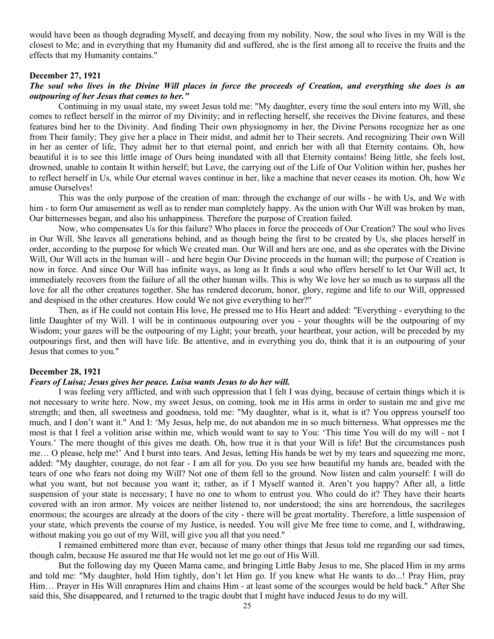would have been as though degrading Myself, and decaying from my nobility. Now, the soul who lives in my Will is the closest to Me; and in everything that my Humanity did and suffered, she is the first among all to receive the fruits and the effects that my Humanity contains."

### **December 27, 1921**

# *The soul who lives in the Divine Will places in force the proceeds of Creation, and everything she does is an outpouring of her Jesus that comes to her."*

Continuing in my usual state, my sweet Jesus told me: "My daughter, every time the soul enters into my Will, she comes to reflect herself in the mirror of my Divinity; and in reflecting herself, she receives the Divine features, and these features bind her to the Divinity. And finding Their own physiognomy in her, the Divine Persons recognize her as one from Their family; They give her a place in Their midst, and admit her to Their secrets. And recognizing Their own Will in her as center of life, They admit her to that eternal point, and enrich her with all that Eternity contains. Oh, how beautiful it is to see this little image of Ours being inundated with all that Eternity contains! Being little, she feels lost, drowned, unable to contain It within herself; but Love, the carrying out of the Life of Our Volition within her, pushes her to reflect herself in Us, while Our eternal waves continue in her, like a machine that never ceases its motion. Oh, how We amuse Ourselves!

This was the only purpose of the creation of man: through the exchange of our wills - he with Us, and We with him - to form Our amusement as well as to render man completely happy. As the union with Our Will was broken by man, Our bitternesses began, and also his unhappiness. Therefore the purpose of Creation failed.

Now, who compensates Us for this failure? Who places in force the proceeds of Our Creation? The soul who lives in Our Will. She leaves all generations behind, and as though being the first to be created by Us, she places herself in order, according to the purpose for which We created man. Our Will and hers are one, and as she operates with the Divine Will, Our Will acts in the human will - and here begin Our Divine proceeds in the human will; the purpose of Creation is now in force. And since Our Will has infinite ways, as long as It finds a soul who offers herself to let Our Will act, It immediately recovers from the failure of all the other human wills. This is why We love her so much as to surpass all the love for all the other creatures together. She has rendered decorum, honor, glory, regime and life to our Will, oppressed and despised in the other creatures. How could We not give everything to her?"

Then, as if He could not contain His love, He pressed me to His Heart and added: "Everything - everything to the little Daughter of my Will. I will be in continuous outpouring over you - your thoughts will be the outpouring of my Wisdom; your gazes will be the outpouring of my Light; your breath, your heartbeat, your action, will be preceded by my outpourings first, and then will have life. Be attentive, and in everything you do, think that it is an outpouring of your Jesus that comes to you."

#### **December 28, 1921**

### *Fears of Luisa; Jesus gives her peace. Luisa wants Jesus to do her will.*

I was feeling very afflicted, and with such oppression that I felt I was dying, because of certain things which it is not necessary to write here. Now, my sweet Jesus, on coming, took me in His arms in order to sustain me and give me strength; and then, all sweetness and goodness, told me: "My daughter, what is it, what is it? You oppress yourself too much, and I don't want it." And I: 'My Jesus, help me, do not abandon me in so much bitterness. What oppresses me the most is that I feel a volition arise within me, which would want to say to You: 'This time You will do my will - not I Yours.' The mere thought of this gives me death. Oh, how true it is that your Will is life! But the circumstances push me… O please, help me!' And I burst into tears. And Jesus, letting His hands be wet by my tears and squeezing me more, added: "My daughter, courage, do not fear - I am all for you. Do you see how beautiful my hands are, beaded with the tears of one who fears not doing my Will? Not one of them fell to the ground. Now listen and calm yourself: I will do what you want, but not because you want it; rather, as if I Myself wanted it. Aren't you happy? After all, a little suspension of your state is necessary; I have no one to whom to entrust you. Who could do it? They have their hearts covered with an iron armor. My voices are neither listened to, nor understood; the sins are horrendous, the sacrileges enormous; the scourges are already at the doors of the city - there will be great mortality. Therefore, a little suspension of your state, which prevents the course of my Justice, is needed. You will give Me free time to come, and I, withdrawing, without making you go out of my Will, will give you all that you need."

I remained embittered more than ever, because of many other things that Jesus told me regarding our sad times, though calm, because He assured me that He would not let me go out of His Will.

But the following day my Queen Mama came, and bringing Little Baby Jesus to me, She placed Him in my arms and told me: "My daughter, hold Him tightly, don't let Him go. If you knew what He wants to do...! Pray Him, pray Him… Prayer in His Will enraptures Him and chains Him - at least some of the scourges would be held back." After She said this, She disappeared, and I returned to the tragic doubt that I might have induced Jesus to do my will.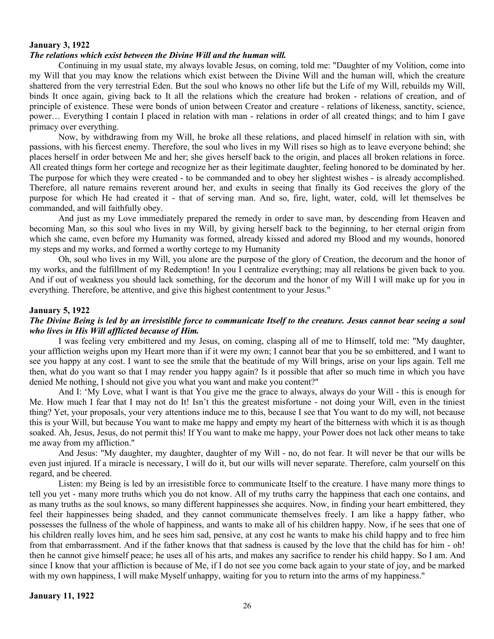# **January 3, 1922** *The relations which exist between the Divine Will and the human will.*

Continuing in my usual state, my always lovable Jesus, on coming, told me: "Daughter of my Volition, come into my Will that you may know the relations which exist between the Divine Will and the human will, which the creature shattered from the very terrestrial Eden. But the soul who knows no other life but the Life of my Will, rebuilds my Will, binds It once again, giving back to It all the relations which the creature had broken - relations of creation, and of principle of existence. These were bonds of union between Creator and creature - relations of likeness, sanctity, science, power… Everything I contain I placed in relation with man - relations in order of all created things; and to him I gave primacy over everything.

Now, by withdrawing from my Will, he broke all these relations, and placed himself in relation with sin, with passions, with his fiercest enemy. Therefore, the soul who lives in my Will rises so high as to leave everyone behind; she places herself in order between Me and her; she gives herself back to the origin, and places all broken relations in force. All created things form her cortege and recognize her as their legitimate daughter, feeling honored to be dominated by her. The purpose for which they were created - to be commanded and to obey her slightest wishes - is already accomplished. Therefore, all nature remains reverent around her, and exults in seeing that finally its God receives the glory of the purpose for which He had created it - that of serving man. And so, fire, light, water, cold, will let themselves be commanded, and will faithfully obey.

And just as my Love immediately prepared the remedy in order to save man, by descending from Heaven and becoming Man, so this soul who lives in my Will, by giving herself back to the beginning, to her eternal origin from which she came, even before my Humanity was formed, already kissed and adored my Blood and my wounds, honored my steps and my works, and formed a worthy cortege to my Humanity

Oh, soul who lives in my Will, you alone are the purpose of the glory of Creation, the decorum and the honor of my works, and the fulfillment of my Redemption! In you I centralize everything; may all relations be given back to you. And if out of weakness you should lack something, for the decorum and the honor of my Will I will make up for you in everything. Therefore, be attentive, and give this highest contentment to your Jesus."

# **January 5, 1922**

# *The Divine Being is led by an irresistible force to communicate Itself to the creature. Jesus cannot bear seeing a soul who lives in His Will afflicted because of Him.*

I was feeling very embittered and my Jesus, on coming, clasping all of me to Himself, told me: "My daughter, your affliction weighs upon my Heart more than if it were my own; I cannot bear that you be so embittered, and I want to see you happy at any cost. I want to see the smile that the beatitude of my Will brings, arise on your lips again. Tell me then, what do you want so that I may render you happy again? Is it possible that after so much time in which you have denied Me nothing, I should not give you what you want and make you content?"

And I: 'My Love, what I want is that You give me the grace to always, always do your Will - this is enough for Me. How much I fear that I may not do It! Isn't this the greatest misfortune - not doing your Will, even in the tiniest thing? Yet, your proposals, your very attentions induce me to this, because I see that You want to do my will, not because this is your Will, but because You want to make me happy and empty my heart of the bitterness with which it is as though soaked. Ah, Jesus, Jesus, do not permit this! If You want to make me happy, your Power does not lack other means to take me away from my affliction."

And Jesus: "My daughter, my daughter, daughter of my Will - no, do not fear. It will never be that our wills be even just injured. If a miracle is necessary, I will do it, but our wills will never separate. Therefore, calm yourself on this regard, and be cheered.

Listen: my Being is led by an irresistible force to communicate Itself to the creature. I have many more things to tell you yet - many more truths which you do not know. All of my truths carry the happiness that each one contains, and as many truths as the soul knows, so many different happinesses she acquires. Now, in finding your heart embittered, they feel their happinesses being shaded, and they cannot communicate themselves freely. I am like a happy father, who possesses the fullness of the whole of happiness, and wants to make all of his children happy. Now, if he sees that one of his children really loves him, and he sees him sad, pensive, at any cost he wants to make his child happy and to free him from that embarrassment. And if the father knows that that sadness is caused by the love that the child has for him - oh! then he cannot give himself peace; he uses all of his arts, and makes any sacrifice to render his child happy. So I am. And since I know that your affliction is because of Me, if I do not see you come back again to your state of joy, and be marked with my own happiness, I will make Myself unhappy, waiting for you to return into the arms of my happiness."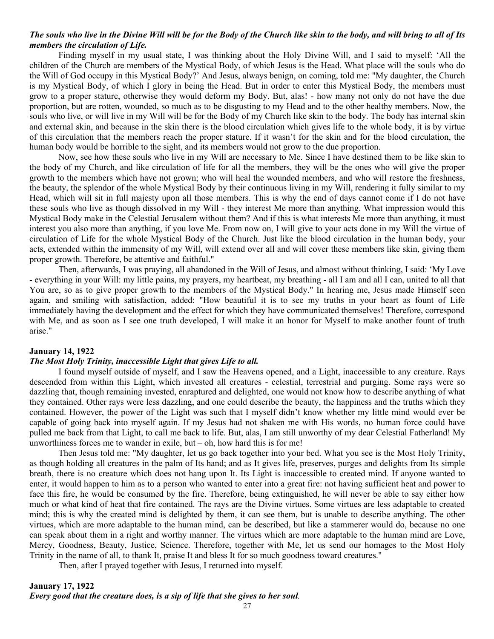# *The souls who live in the Divine Will will be for the Body of the Church like skin to the body, and will bring to all of Its members the circulation of Life.*

Finding myself in my usual state, I was thinking about the Holy Divine Will, and I said to myself: 'All the children of the Church are members of the Mystical Body, of which Jesus is the Head. What place will the souls who do the Will of God occupy in this Mystical Body?' And Jesus, always benign, on coming, told me: "My daughter, the Church is my Mystical Body, of which I glory in being the Head. But in order to enter this Mystical Body, the members must grow to a proper stature, otherwise they would deform my Body. But, alas! - how many not only do not have the due proportion, but are rotten, wounded, so much as to be disgusting to my Head and to the other healthy members. Now, the souls who live, or will live in my Will will be for the Body of my Church like skin to the body. The body has internal skin and external skin, and because in the skin there is the blood circulation which gives life to the whole body, it is by virtue of this circulation that the members reach the proper stature. If it wasn't for the skin and for the blood circulation, the human body would be horrible to the sight, and its members would not grow to the due proportion.

Now, see how these souls who live in my Will are necessary to Me. Since I have destined them to be like skin to the body of my Church, and like circulation of life for all the members, they will be the ones who will give the proper growth to the members which have not grown; who will heal the wounded members, and who will restore the freshness, the beauty, the splendor of the whole Mystical Body by their continuous living in my Will, rendering it fully similar to my Head, which will sit in full majesty upon all those members. This is why the end of days cannot come if I do not have these souls who live as though dissolved in my Will - they interest Me more than anything. What impression would this Mystical Body make in the Celestial Jerusalem without them? And if this is what interests Me more than anything, it must interest you also more than anything, if you love Me. From now on, I will give to your acts done in my Will the virtue of circulation of Life for the whole Mystical Body of the Church. Just like the blood circulation in the human body, your acts, extended within the immensity of my Will, will extend over all and will cover these members like skin, giving them proper growth. Therefore, be attentive and faithful."

Then, afterwards, I was praying, all abandoned in the Will of Jesus, and almost without thinking, I said: 'My Love - everything in your Will: my little pains, my prayers, my heartbeat, my breathing - all I am and all I can, united to all that You are, so as to give proper growth to the members of the Mystical Body." In hearing me, Jesus made Himself seen again, and smiling with satisfaction, added: "How beautiful it is to see my truths in your heart as fount of Life immediately having the development and the effect for which they have communicated themselves! Therefore, correspond with Me, and as soon as I see one truth developed, I will make it an honor for Myself to make another fount of truth arise."

# **January 14, 1922**

# *The Most Holy Trinity, inaccessible Light that gives Life to all.*

I found myself outside of myself, and I saw the Heavens opened, and a Light, inaccessible to any creature. Rays descended from within this Light, which invested all creatures - celestial, terrestrial and purging. Some rays were so dazzling that, though remaining invested, enraptured and delighted, one would not know how to describe anything of what they contained. Other rays were less dazzling, and one could describe the beauty, the happiness and the truths which they contained. However, the power of the Light was such that I myself didn't know whether my little mind would ever be capable of going back into myself again. If my Jesus had not shaken me with His words, no human force could have pulled me back from that Light, to call me back to life. But, alas, I am still unworthy of my dear Celestial Fatherland! My unworthiness forces me to wander in exile, but  $-$  oh, how hard this is for me!

Then Jesus told me: "My daughter, let us go back together into your bed. What you see is the Most Holy Trinity, as though holding all creatures in the palm of Its hand; and as It gives life, preserves, purges and delights from Its simple breath, there is no creature which does not hang upon It. Its Light is inaccessible to created mind. If anyone wanted to enter, it would happen to him as to a person who wanted to enter into a great fire: not having sufficient heat and power to face this fire, he would be consumed by the fire. Therefore, being extinguished, he will never be able to say either how much or what kind of heat that fire contained. The rays are the Divine virtues. Some virtues are less adaptable to created mind; this is why the created mind is delighted by them, it can see them, but is unable to describe anything. The other virtues, which are more adaptable to the human mind, can be described, but like a stammerer would do, because no one can speak about them in a right and worthy manner. The virtues which are more adaptable to the human mind are Love, Mercy, Goodness, Beauty, Justice, Science. Therefore, together with Me, let us send our homages to the Most Holy Trinity in the name of all, to thank It, praise It and bless It for so much goodness toward creatures."

Then, after I prayed together with Jesus, I returned into myself.

# **January 17, 1922** *Every good that the creature does, is a sip of life that she gives to her soul.*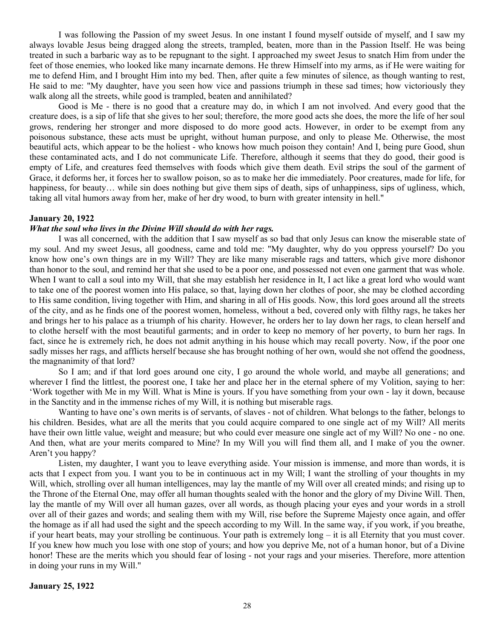I was following the Passion of my sweet Jesus. In one instant I found myself outside of myself, and I saw my always lovable Jesus being dragged along the streets, trampled, beaten, more than in the Passion Itself. He was being treated in such a barbaric way as to be repugnant to the sight. I approached my sweet Jesus to snatch Him from under the feet of those enemies, who looked like many incarnate demons. He threw Himself into my arms, as if He were waiting for me to defend Him, and I brought Him into my bed. Then, after quite a few minutes of silence, as though wanting to rest, He said to me: "My daughter, have you seen how vice and passions triumph in these sad times; how victoriously they walk along all the streets, while good is trampled, beaten and annihilated?

Good is Me - there is no good that a creature may do, in which I am not involved. And every good that the creature does, is a sip of life that she gives to her soul; therefore, the more good acts she does, the more the life of her soul grows, rendering her stronger and more disposed to do more good acts. However, in order to be exempt from any poisonous substance, these acts must be upright, without human purpose, and only to please Me. Otherwise, the most beautiful acts, which appear to be the holiest - who knows how much poison they contain! And I, being pure Good, shun these contaminated acts, and I do not communicate Life. Therefore, although it seems that they do good, their good is empty of Life, and creatures feed themselves with foods which give them death. Evil strips the soul of the garment of Grace, it deforms her, it forces her to swallow poison, so as to make her die immediately. Poor creatures, made for life, for happiness, for beauty... while sin does nothing but give them sips of death, sips of unhappiness, sips of ugliness, which, taking all vital humors away from her, make of her dry wood, to burn with greater intensity in hell."

#### **January 20, 1922**

### *What the soul who lives in the Divine Will should do with her rags.*

I was all concerned, with the addition that I saw myself as so bad that only Jesus can know the miserable state of my soul. And my sweet Jesus, all goodness, came and told me: "My daughter, why do you oppress yourself? Do you know how one's own things are in my Will? They are like many miserable rags and tatters, which give more dishonor than honor to the soul, and remind her that she used to be a poor one, and possessed not even one garment that was whole. When I want to call a soul into my Will, that she may establish her residence in It, I act like a great lord who would want to take one of the poorest women into His palace, so that, laying down her clothes of poor, she may be clothed according to His same condition, living together with Him, and sharing in all of His goods. Now, this lord goes around all the streets of the city, and as he finds one of the poorest women, homeless, without a bed, covered only with filthy rags, he takes her and brings her to his palace as a triumph of his charity. However, he orders her to lay down her rags, to clean herself and to clothe herself with the most beautiful garments; and in order to keep no memory of her poverty, to burn her rags. In fact, since he is extremely rich, he does not admit anything in his house which may recall poverty. Now, if the poor one sadly misses her rags, and afflicts herself because she has brought nothing of her own, would she not offend the goodness, the magnanimity of that lord?

So I am; and if that lord goes around one city, I go around the whole world, and maybe all generations; and wherever I find the littlest, the poorest one, I take her and place her in the eternal sphere of my Volition, saying to her: 'Work together with Me in my Will. What is Mine is yours. If you have something from your own - lay it down, because in the Sanctity and in the immense riches of my Will, it is nothing but miserable rags.

Wanting to have one's own merits is of servants, of slaves - not of children. What belongs to the father, belongs to his children. Besides, what are all the merits that you could acquire compared to one single act of my Will? All merits have their own little value, weight and measure; but who could ever measure one single act of my Will? No one - no one. And then, what are your merits compared to Mine? In my Will you will find them all, and I make of you the owner. Aren't you happy?

Listen, my daughter, I want you to leave everything aside. Your mission is immense, and more than words, it is acts that I expect from you. I want you to be in continuous act in my Will; I want the strolling of your thoughts in my Will, which, strolling over all human intelligences, may lay the mantle of my Will over all created minds; and rising up to the Throne of the Eternal One, may offer all human thoughts sealed with the honor and the glory of my Divine Will. Then, lay the mantle of my Will over all human gazes, over all words, as though placing your eyes and your words in a stroll over all of their gazes and words; and sealing them with my Will, rise before the Supreme Majesty once again, and offer the homage as if all had used the sight and the speech according to my Will. In the same way, if you work, if you breathe, if your heart beats, may your strolling be continuous. Your path is extremely long – it is all Eternity that you must cover. If you knew how much you lose with one stop of yours; and how you deprive Me, not of a human honor, but of a Divine honor! These are the merits which you should fear of losing - not your rags and your miseries. Therefore, more attention in doing your runs in my Will."

#### **January 25, 1922**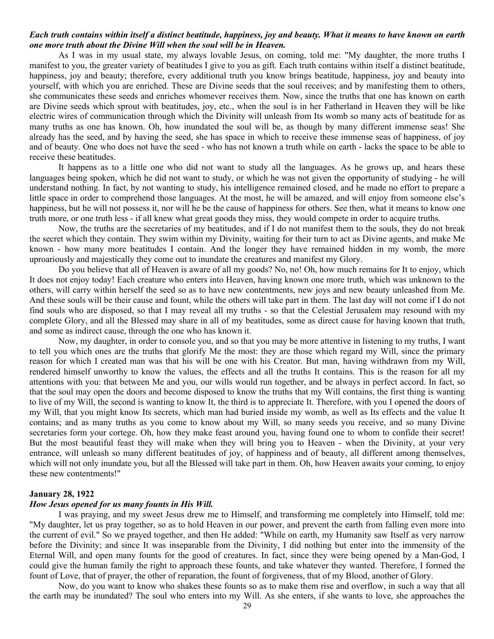## *Each truth contains within itself a distinct beatitude, happiness, joy and beauty. What it means to have known on earth one more truth about the Divine Will when the soul will be in Heaven.*

As I was in my usual state, my always lovable Jesus, on coming, told me: "My daughter, the more truths I manifest to you, the greater variety of beatitudes I give to you as gift. Each truth contains within itself a distinct beatitude, happiness, joy and beauty; therefore, every additional truth you know brings beatitude, happiness, joy and beauty into yourself, with which you are enriched. These are Divine seeds that the soul receives; and by manifesting them to others, she communicates these seeds and enriches whomever receives them. Now, since the truths that one has known on earth are Divine seeds which sprout with beatitudes, joy, etc., when the soul is in her Fatherland in Heaven they will be like electric wires of communication through which the Divinity will unleash from Its womb so many acts of beatitude for as many truths as one has known. Oh, how inundated the soul will be, as though by many different immense seas! She already has the seed, and by having the seed, she has space in which to receive these immense seas of happiness, of joy and of beauty. One who does not have the seed - who has not known a truth while on earth - lacks the space to be able to receive these beatitudes.

It happens as to a little one who did not want to study all the languages. As he grows up, and hears these languages being spoken, which he did not want to study, or which he was not given the opportunity of studying - he will understand nothing. In fact, by not wanting to study, his intelligence remained closed, and he made no effort to prepare a little space in order to comprehend those languages. At the most, he will be amazed, and will enjoy from someone else's happiness, but he will not possess it, nor will he be the cause of happiness for others. See then, what it means to know one truth more, or one truth less - if all knew what great goods they miss, they would compete in order to acquire truths.

Now, the truths are the secretaries of my beatitudes, and if I do not manifest them to the souls, they do not break the secret which they contain. They swim within my Divinity, waiting for their turn to act as Divine agents, and make Me known - how many more beatitudes I contain. And the longer they have remained hidden in my womb, the more uproariously and majestically they come out to inundate the creatures and manifest my Glory.

Do you believe that all of Heaven is aware of all my goods? No, no! Oh, how much remains for It to enjoy, which It does not enjoy today! Each creature who enters into Heaven, having known one more truth, which was unknown to the others, will carry within herself the seed so as to have new contentments, new joys and new beauty unleashed from Me. And these souls will be their cause and fount, while the others will take part in them. The last day will not come if I do not find souls who are disposed, so that I may reveal all my truths - so that the Celestial Jerusalem may resound with my complete Glory, and all the Blessed may share in all of my beatitudes, some as direct cause for having known that truth, and some as indirect cause, through the one who has known it.

Now, my daughter, in order to console you, and so that you may be more attentive in listening to my truths, I want to tell you which ones are the truths that glorify Me the most: they are those which regard my Will, since the primary reason for which I created man was that his will be one with his Creator. But man, having withdrawn from my Will, rendered himself unworthy to know the values, the effects and all the truths It contains. This is the reason for all my attentions with you: that between Me and you, our wills would run together, and be always in perfect accord. In fact, so that the soul may open the doors and become disposed to know the truths that my Will contains, the first thing is wanting to live of my Will, the second is wanting to know It, the third is to appreciate It. Therefore, with you I opened the doors of my Will, that you might know Its secrets, which man had buried inside my womb, as well as Its effects and the value It contains; and as many truths as you come to know about my Will, so many seeds you receive, and so many Divine secretaries form your cortege. Oh, how they make feast around you, having found one to whom to confide their secret! But the most beautiful feast they will make when they will bring you to Heaven - when the Divinity, at your very entrance, will unleash so many different beatitudes of joy, of happiness and of beauty, all different among themselves, which will not only inundate you, but all the Blessed will take part in them. Oh, how Heaven awaits your coming, to enjoy these new contentments!"

#### **January 28, 1922**

#### *How Jesus opened for us many founts in His Will.*

I was praying, and my sweet Jesus drew me to Himself, and transforming me completely into Himself, told me: "My daughter, let us pray together, so as to hold Heaven in our power, and prevent the earth from falling even more into the current of evil." So we prayed together, and then He added: "While on earth, my Humanity saw Itself as very narrow before the Divinity; and since It was inseparable from the Divinity, I did nothing but enter into the immensity of the Eternal Will, and open many founts for the good of creatures. In fact, since they were being opened by a Man-God, I could give the human family the right to approach these founts, and take whatever they wanted. Therefore, I formed the fount of Love, that of prayer, the other of reparation, the fount of forgiveness, that of my Blood, another of Glory.

Now, do you want to know who shakes these founts so as to make them rise and overflow, in such a way that all the earth may be inundated? The soul who enters into my Will. As she enters, if she wants to love, she approaches the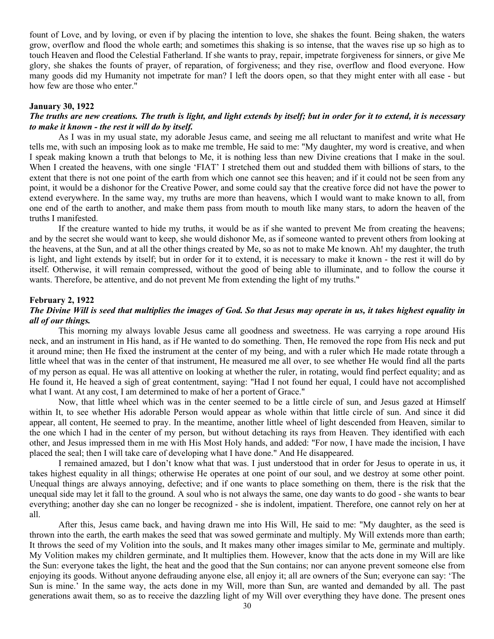fount of Love, and by loving, or even if by placing the intention to love, she shakes the fount. Being shaken, the waters grow, overflow and flood the whole earth; and sometimes this shaking is so intense, that the waves rise up so high as to touch Heaven and flood the Celestial Fatherland. If she wants to pray, repair, impetrate forgiveness for sinners, or give Me glory, she shakes the founts of prayer, of reparation, of forgiveness; and they rise, overflow and flood everyone. How many goods did my Humanity not impetrate for man? I left the doors open, so that they might enter with all ease - but how few are those who enter."

# **January 30, 1922**

# *The truths are new creations. The truth is light, and light extends by itself; but in order for it to extend, it is necessary to make it known - the rest it will do by itself.*

As I was in my usual state, my adorable Jesus came, and seeing me all reluctant to manifest and write what He tells me, with such an imposing look as to make me tremble, He said to me: "My daughter, my word is creative, and when I speak making known a truth that belongs to Me, it is nothing less than new Divine creations that I make in the soul. When I created the heavens, with one single 'FIAT' I stretched them out and studded them with billions of stars, to the extent that there is not one point of the earth from which one cannot see this heaven; and if it could not be seen from any point, it would be a dishonor for the Creative Power, and some could say that the creative force did not have the power to extend everywhere. In the same way, my truths are more than heavens, which I would want to make known to all, from one end of the earth to another, and make them pass from mouth to mouth like many stars, to adorn the heaven of the truths I manifested.

If the creature wanted to hide my truths, it would be as if she wanted to prevent Me from creating the heavens; and by the secret she would want to keep, she would dishonor Me, as if someone wanted to prevent others from looking at the heavens, at the Sun, and at all the other things created by Me, so as not to make Me known. Ah! my daughter, the truth is light, and light extends by itself; but in order for it to extend, it is necessary to make it known - the rest it will do by itself. Otherwise, it will remain compressed, without the good of being able to illuminate, and to follow the course it wants. Therefore, be attentive, and do not prevent Me from extending the light of my truths."

#### **February 2, 1922**

# *The Divine Will is seed that multiplies the images of God. So that Jesus may operate in us, it takes highest equality in all of our things.*

This morning my always lovable Jesus came all goodness and sweetness. He was carrying a rope around His neck, and an instrument in His hand, as if He wanted to do something. Then, He removed the rope from His neck and put it around mine; then He fixed the instrument at the center of my being, and with a ruler which He made rotate through a little wheel that was in the center of that instrument, He measured me all over, to see whether He would find all the parts of my person as equal. He was all attentive on looking at whether the ruler, in rotating, would find perfect equality; and as He found it, He heaved a sigh of great contentment, saying: "Had I not found her equal, I could have not accomplished what I want. At any cost, I am determined to make of her a portent of Grace."

Now, that little wheel which was in the center seemed to be a little circle of sun, and Jesus gazed at Himself within It, to see whether His adorable Person would appear as whole within that little circle of sun. And since it did appear, all content, He seemed to pray. In the meantime, another little wheel of light descended from Heaven, similar to the one which I had in the center of my person, but without detaching its rays from Heaven. They identified with each other, and Jesus impressed them in me with His Most Holy hands, and added: "For now, I have made the incision, I have placed the seal; then I will take care of developing what I have done." And He disappeared.

I remained amazed, but I don't know what that was. I just understood that in order for Jesus to operate in us, it takes highest equality in all things; otherwise He operates at one point of our soul, and we destroy at some other point. Unequal things are always annoying, defective; and if one wants to place something on them, there is the risk that the unequal side may let it fall to the ground. A soul who is not always the same, one day wants to do good - she wants to bear everything; another day she can no longer be recognized - she is indolent, impatient. Therefore, one cannot rely on her at all.

After this, Jesus came back, and having drawn me into His Will, He said to me: "My daughter, as the seed is thrown into the earth, the earth makes the seed that was sowed germinate and multiply. My Will extends more than earth; It throws the seed of my Volition into the souls, and It makes many other images similar to Me, germinate and multiply. My Volition makes my children germinate, and It multiplies them. However, know that the acts done in my Will are like the Sun: everyone takes the light, the heat and the good that the Sun contains; nor can anyone prevent someone else from enjoying its goods. Without anyone defrauding anyone else, all enjoy it; all are owners of the Sun; everyone can say: 'The Sun is mine.' In the same way, the acts done in my Will, more than Sun, are wanted and demanded by all. The past generations await them, so as to receive the dazzling light of my Will over everything they have done. The present ones